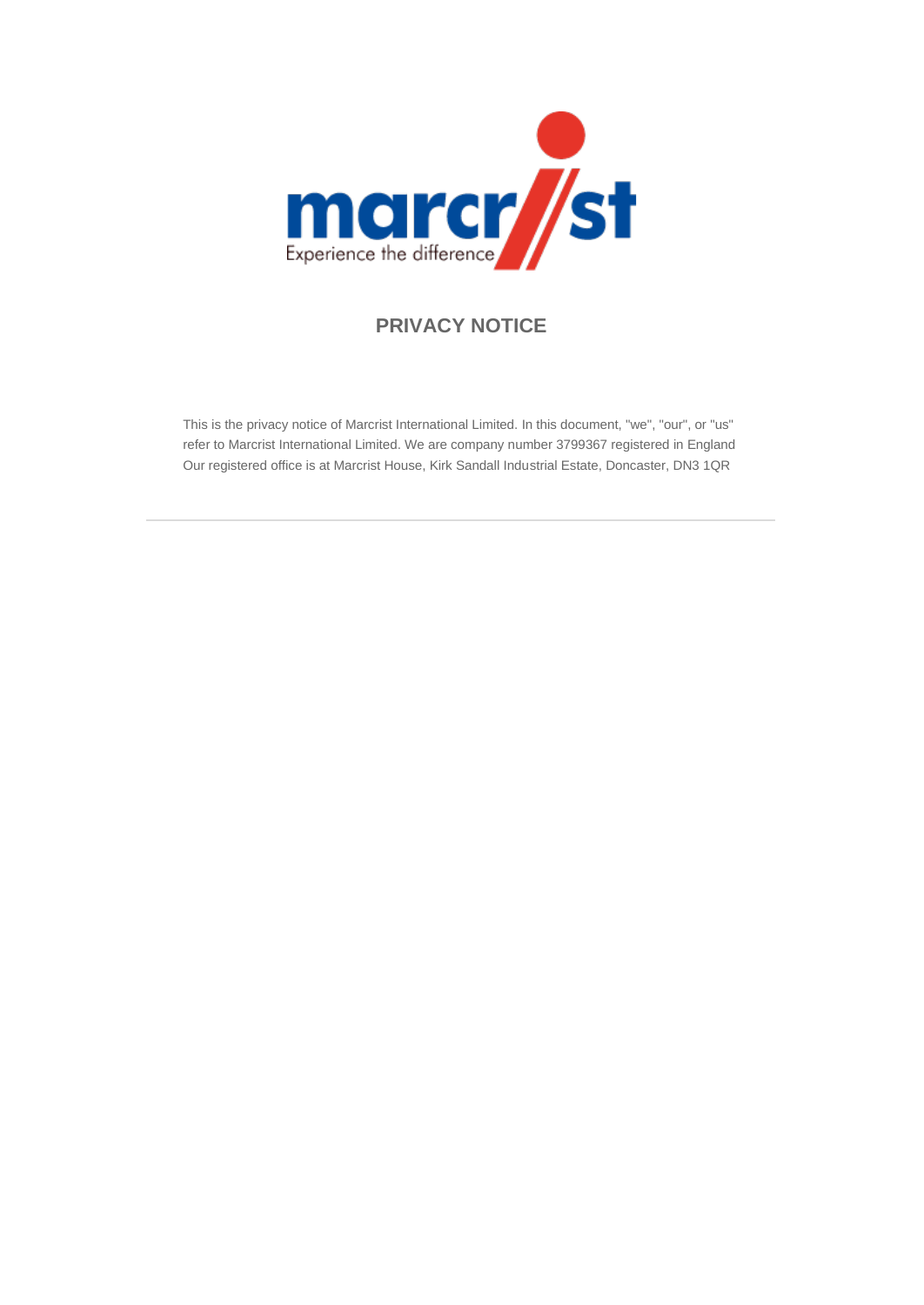

### **PRIVACY NOTICE**

This is the privacy notice of Marcrist International Limited. In this document, "we", "our", or "us" refer to Marcrist International Limited. We are company number 3799367 registered in England Our registered office is at Marcrist House, Kirk Sandall Industrial Estate, Doncaster, DN3 1QR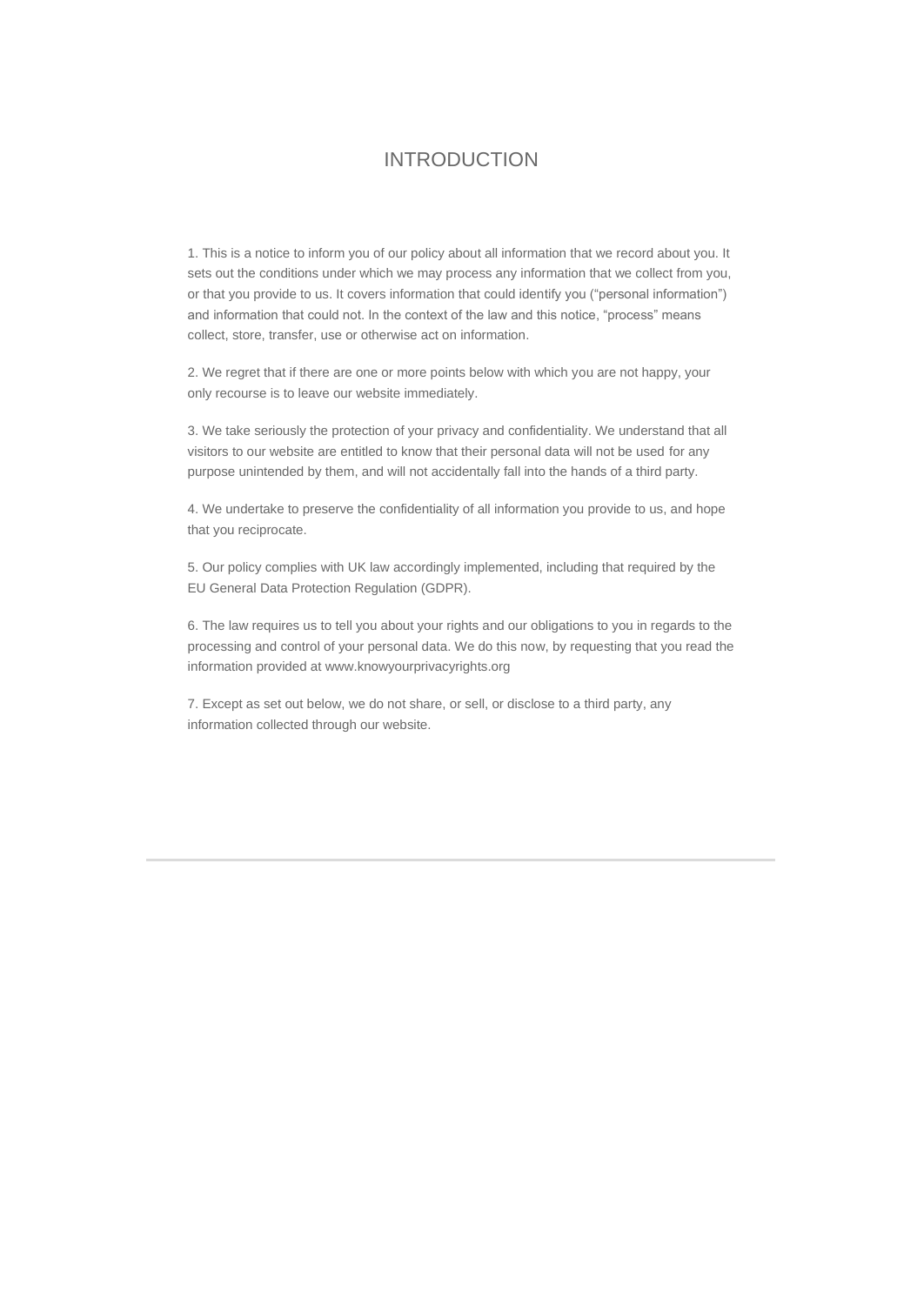#### INTRODUCTION

1. This is a notice to inform you of our policy about all information that we record about you. It sets out the conditions under which we may process any information that we collect from you, or that you provide to us. It covers information that could identify you ("personal information") and information that could not. In the context of the law and this notice, "process" means collect, store, transfer, use or otherwise act on information.

2. We regret that if there are one or more points below with which you are not happy, your only recourse is to leave our website immediately.

3. We take seriously the protection of your privacy and confidentiality. We understand that all visitors to our website are entitled to know that their personal data will not be used for any purpose unintended by them, and will not accidentally fall into the hands of a third party.

4. We undertake to preserve the confidentiality of all information you provide to us, and hope that you reciprocate.

5. Our policy complies with UK law accordingly implemented, including that required by the EU General Data Protection Regulation (GDPR).

6. The law requires us to tell you about your rights and our obligations to you in regards to the processing and control of your personal data. We do this now, by requesting that you read the information provided at www.knowyourprivacyrights.org

7. Except as set out below, we do not share, or sell, or disclose to a third party, any information collected through our website.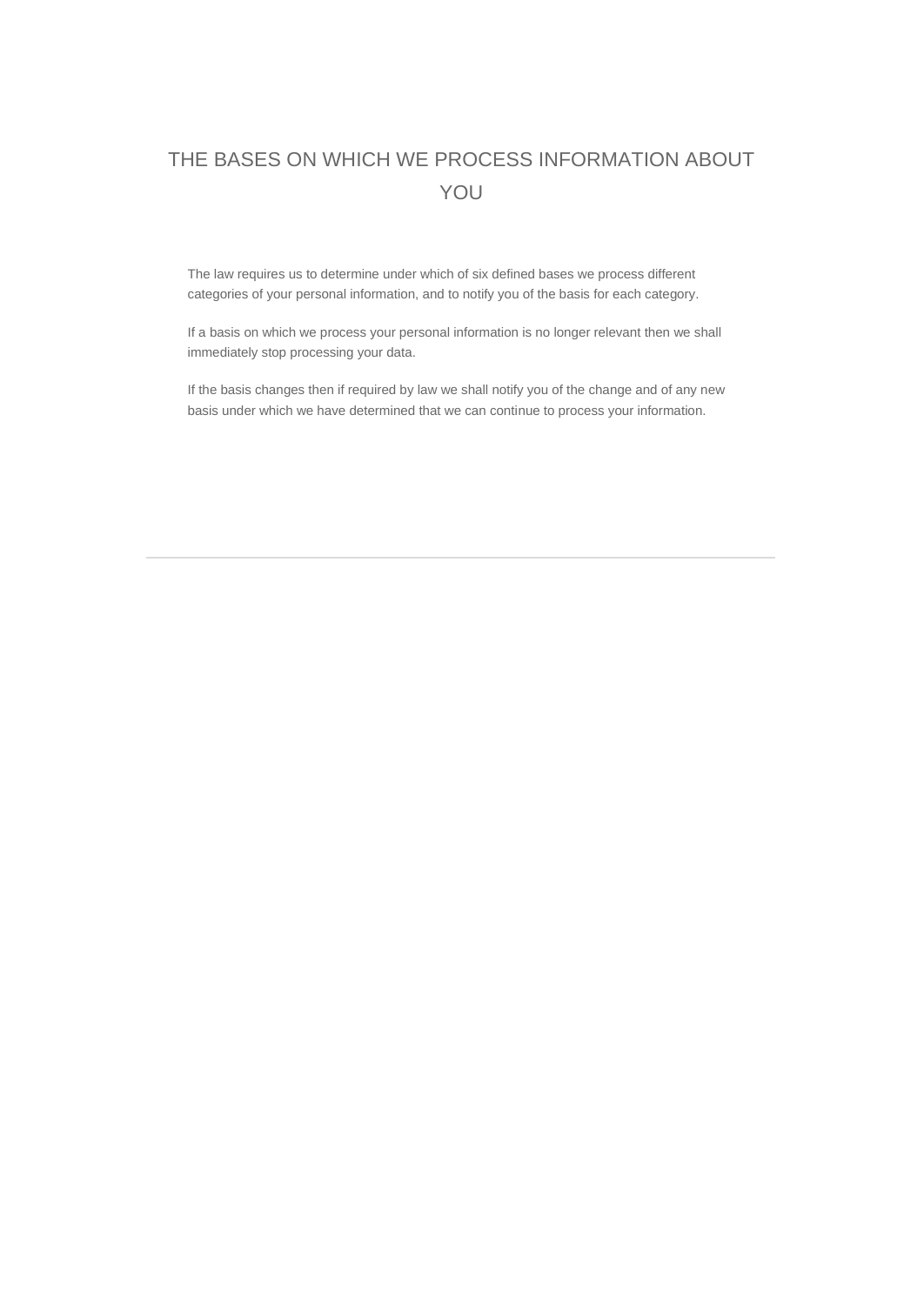# THE BASES ON WHICH WE PROCESS INFORMATION ABOUT YOU

The law requires us to determine under which of six defined bases we process different categories of your personal information, and to notify you of the basis for each category.

If a basis on which we process your personal information is no longer relevant then we shall immediately stop processing your data.

If the basis changes then if required by law we shall notify you of the change and of any new basis under which we have determined that we can continue to process your information.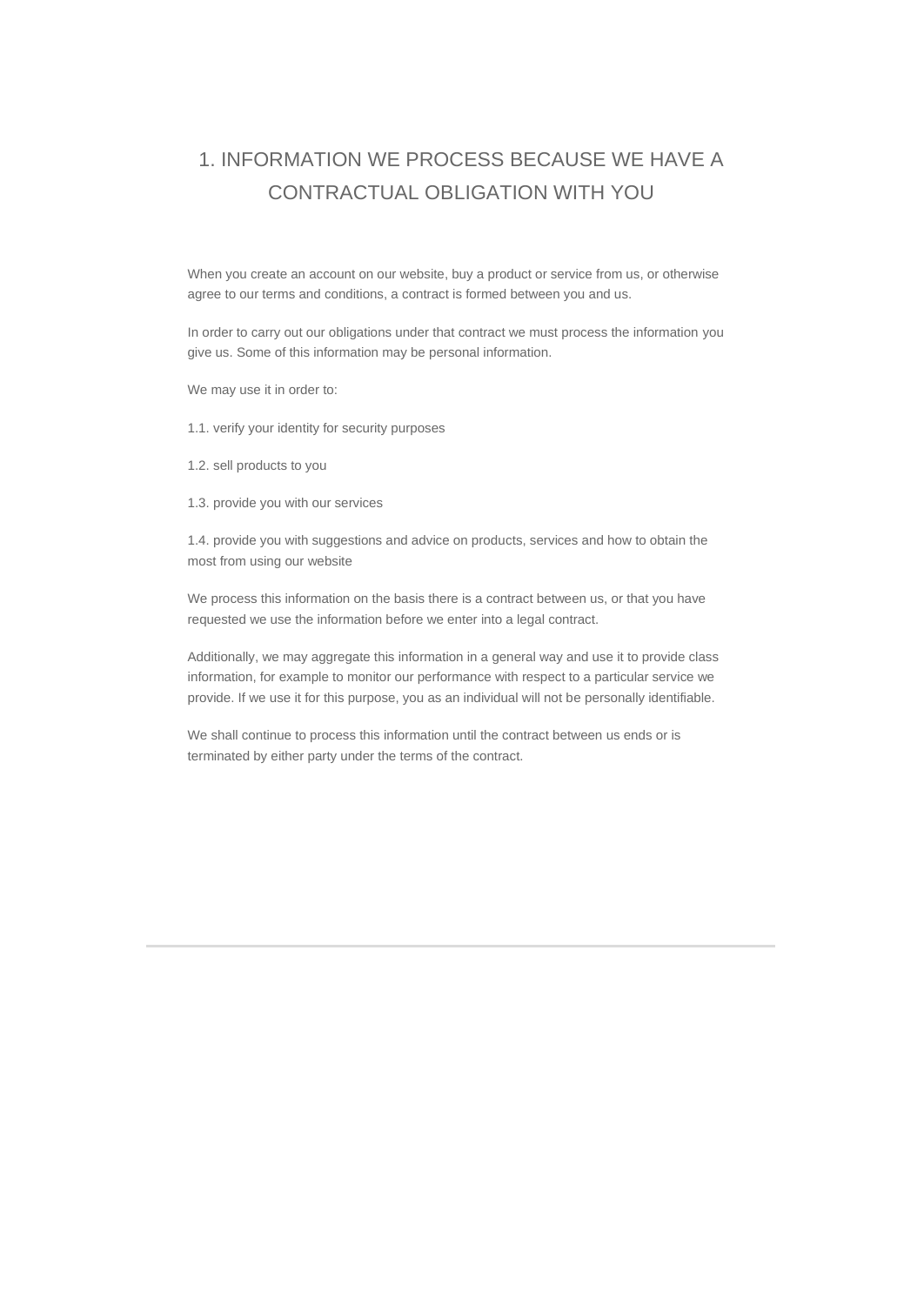# 1. INFORMATION WE PROCESS BECAUSE WE HAVE A CONTRACTUAL OBLIGATION WITH YOU

When you create an account on our website, buy a product or service from us, or otherwise agree to our terms and conditions, a contract is formed between you and us.

In order to carry out our obligations under that contract we must process the information you give us. Some of this information may be personal information.

We may use it in order to:

1.1. verify your identity for security purposes

1.2. sell products to you

1.3. provide you with our services

1.4. provide you with suggestions and advice on products, services and how to obtain the most from using our website

We process this information on the basis there is a contract between us, or that you have requested we use the information before we enter into a legal contract.

Additionally, we may aggregate this information in a general way and use it to provide class information, for example to monitor our performance with respect to a particular service we provide. If we use it for this purpose, you as an individual will not be personally identifiable.

We shall continue to process this information until the contract between us ends or is terminated by either party under the terms of the contract.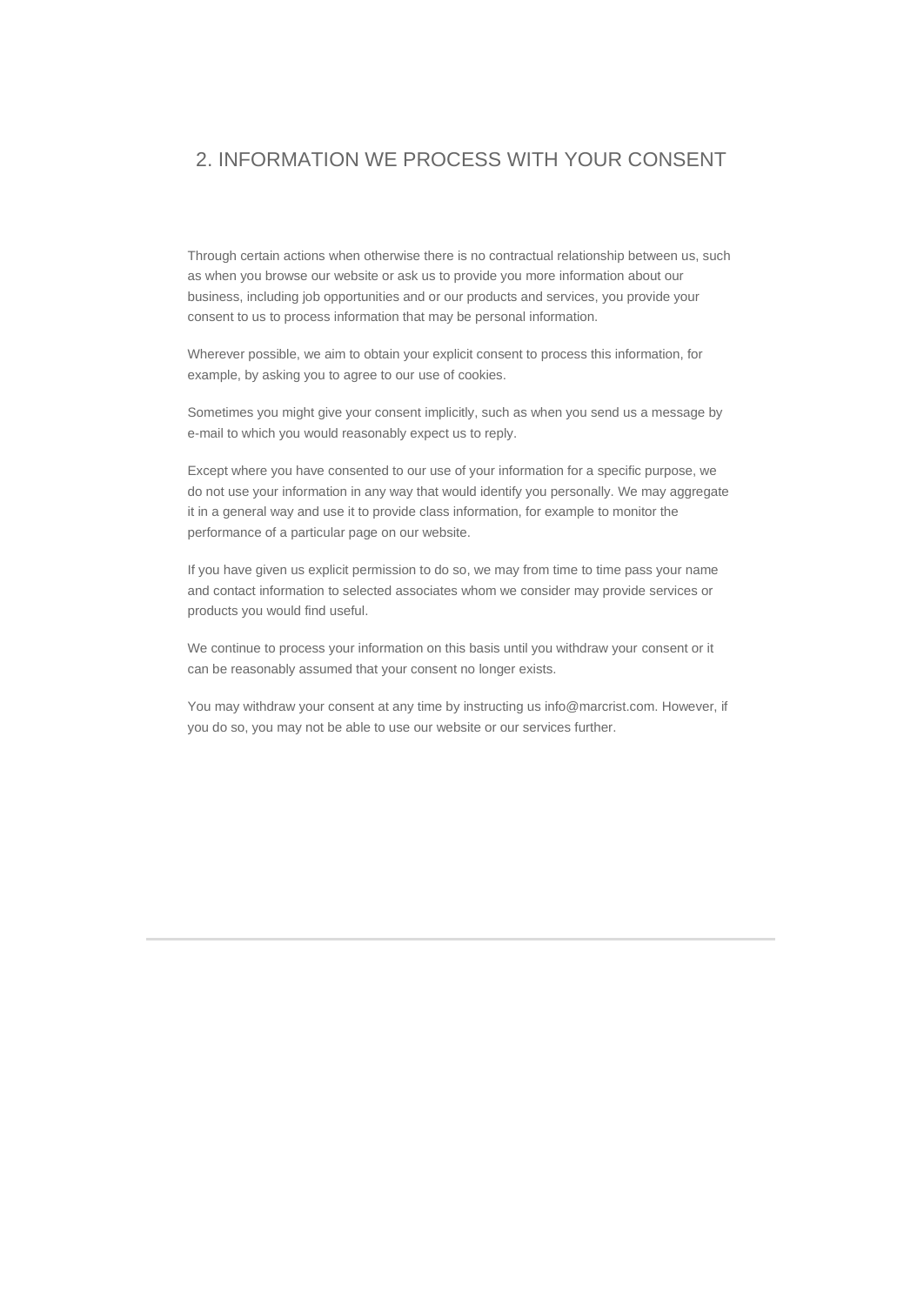#### 2. INFORMATION WE PROCESS WITH YOUR CONSENT

Through certain actions when otherwise there is no contractual relationship between us, such as when you browse our website or ask us to provide you more information about our business, including job opportunities and or our products and services, you provide your consent to us to process information that may be personal information.

Wherever possible, we aim to obtain your explicit consent to process this information, for example, by asking you to agree to our use of cookies.

Sometimes you might give your consent implicitly, such as when you send us a message by e-mail to which you would reasonably expect us to reply.

Except where you have consented to our use of your information for a specific purpose, we do not use your information in any way that would identify you personally. We may aggregate it in a general way and use it to provide class information, for example to monitor the performance of a particular page on our website.

If you have given us explicit permission to do so, we may from time to time pass your name and contact information to selected associates whom we consider may provide services or products you would find useful.

We continue to process your information on this basis until you withdraw your consent or it can be reasonably assumed that your consent no longer exists.

You may withdraw your consent at any time by instructing us info@marcrist.com. However, if you do so, you may not be able to use our website or our services further.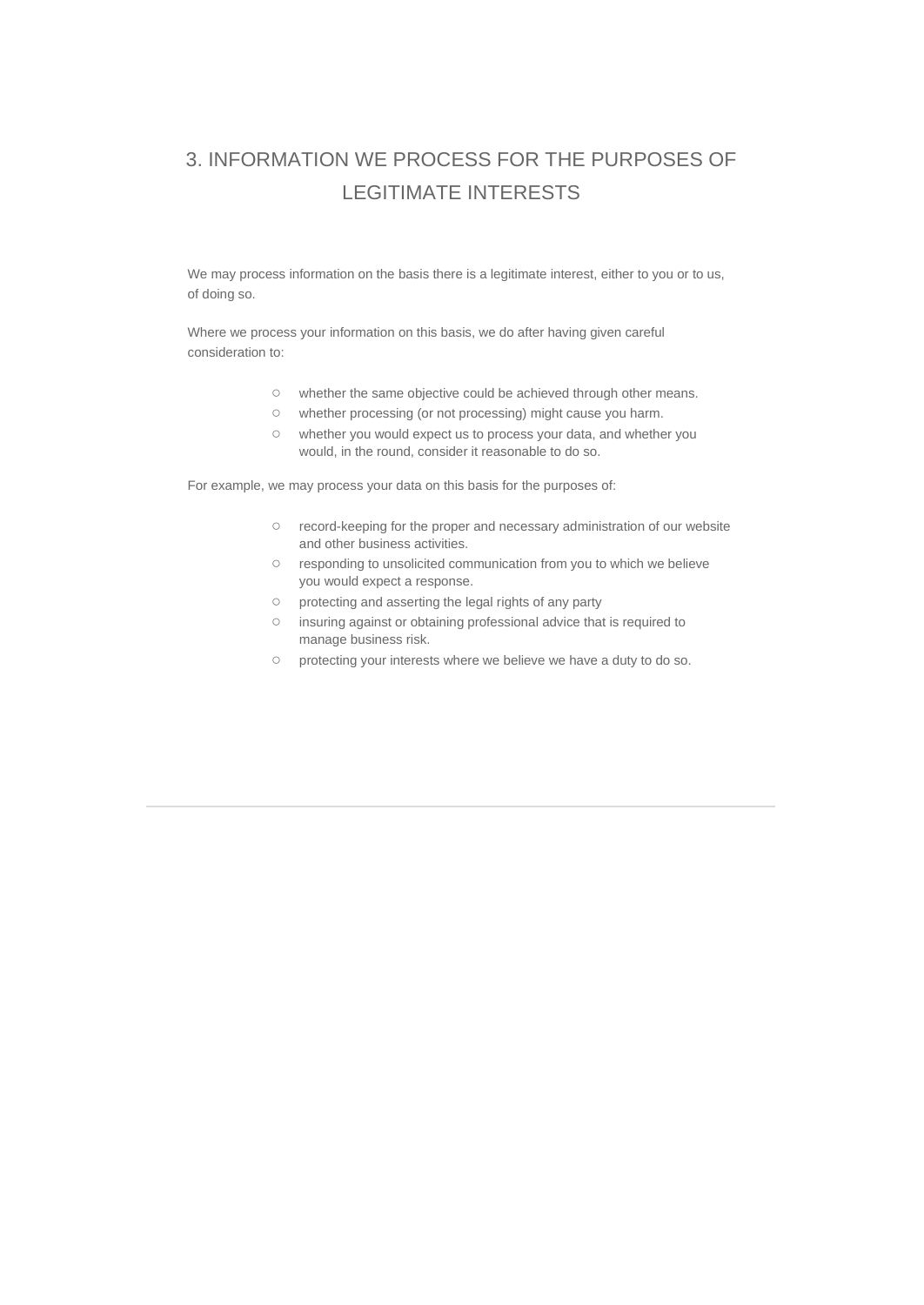# 3. INFORMATION WE PROCESS FOR THE PURPOSES OF LEGITIMATE INTERESTS

We may process information on the basis there is a legitimate interest, either to you or to us, of doing so.

Where we process your information on this basis, we do after having given careful consideration to:

- whether the same objective could be achieved through other means.
- whether processing (or not processing) might cause you harm.
- whether you would expect us to process your data, and whether you would, in the round, consider it reasonable to do so.

For example, we may process your data on this basis for the purposes of:

- record-keeping for the proper and necessary administration of our website and other business activities.
- responding to unsolicited communication from you to which we believe you would expect a response.
- protecting and asserting the legal rights of any party
- insuring against or obtaining professional advice that is required to manage business risk.
- protecting your interests where we believe we have a duty to do so.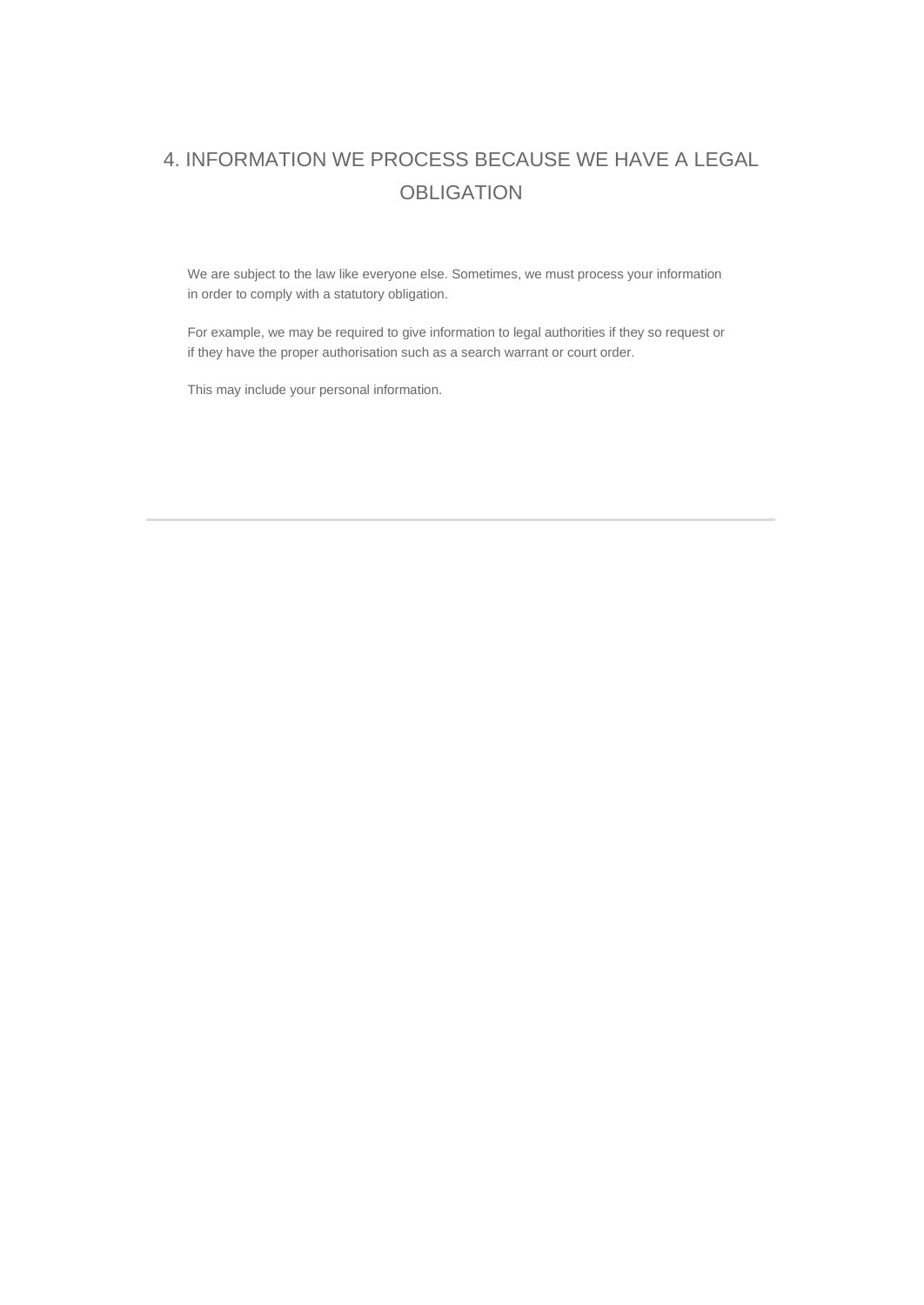# 4. INFORMATION WE PROCESS BECAUSE WE HAVE A LEGAL **OBLIGATION**

We are subject to the law like everyone else. Sometimes, we must process your information in order to comply with a statutory obligation.

For example, we may be required to give information to legal authorities if they so request or if they have the proper authorisation such as a search warrant or court order.

This may include your personal information.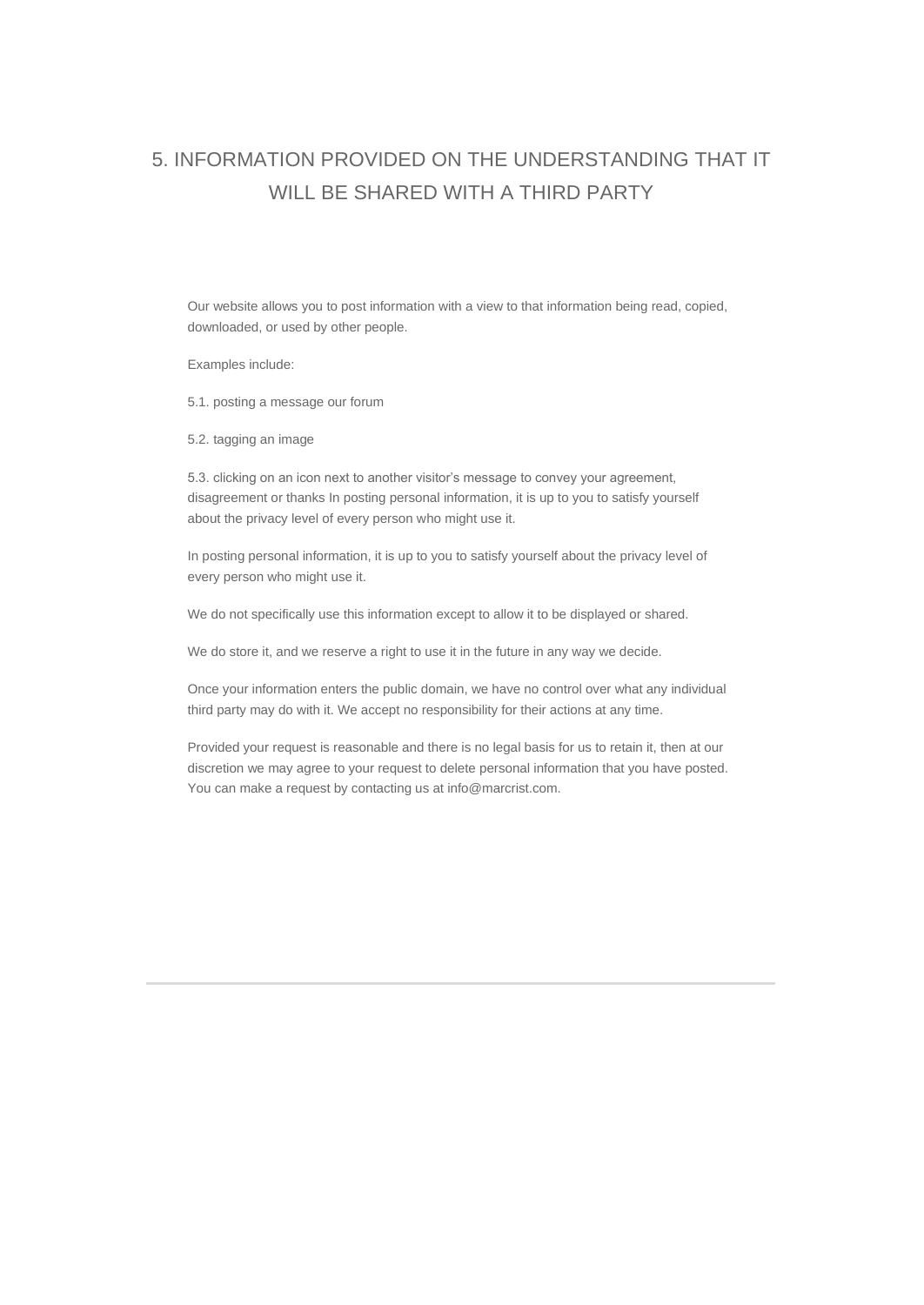# 5. INFORMATION PROVIDED ON THE UNDERSTANDING THAT IT WILL BE SHARED WITH A THIRD PARTY

Our website allows you to post information with a view to that information being read, copied, downloaded, or used by other people.

Examples include:

5.1. posting a message our forum

5.2. tagging an image

5.3. clicking on an icon next to another visitor's message to convey your agreement, disagreement or thanks In posting personal information, it is up to you to satisfy yourself about the privacy level of every person who might use it.

In posting personal information, it is up to you to satisfy yourself about the privacy level of every person who might use it.

We do not specifically use this information except to allow it to be displayed or shared.

We do store it, and we reserve a right to use it in the future in any way we decide.

Once your information enters the public domain, we have no control over what any individual third party may do with it. We accept no responsibility for their actions at any time.

Provided your request is reasonable and there is no legal basis for us to retain it, then at our discretion we may agree to your request to delete personal information that you have posted. You can make a request by contacting us at info@marcrist.com.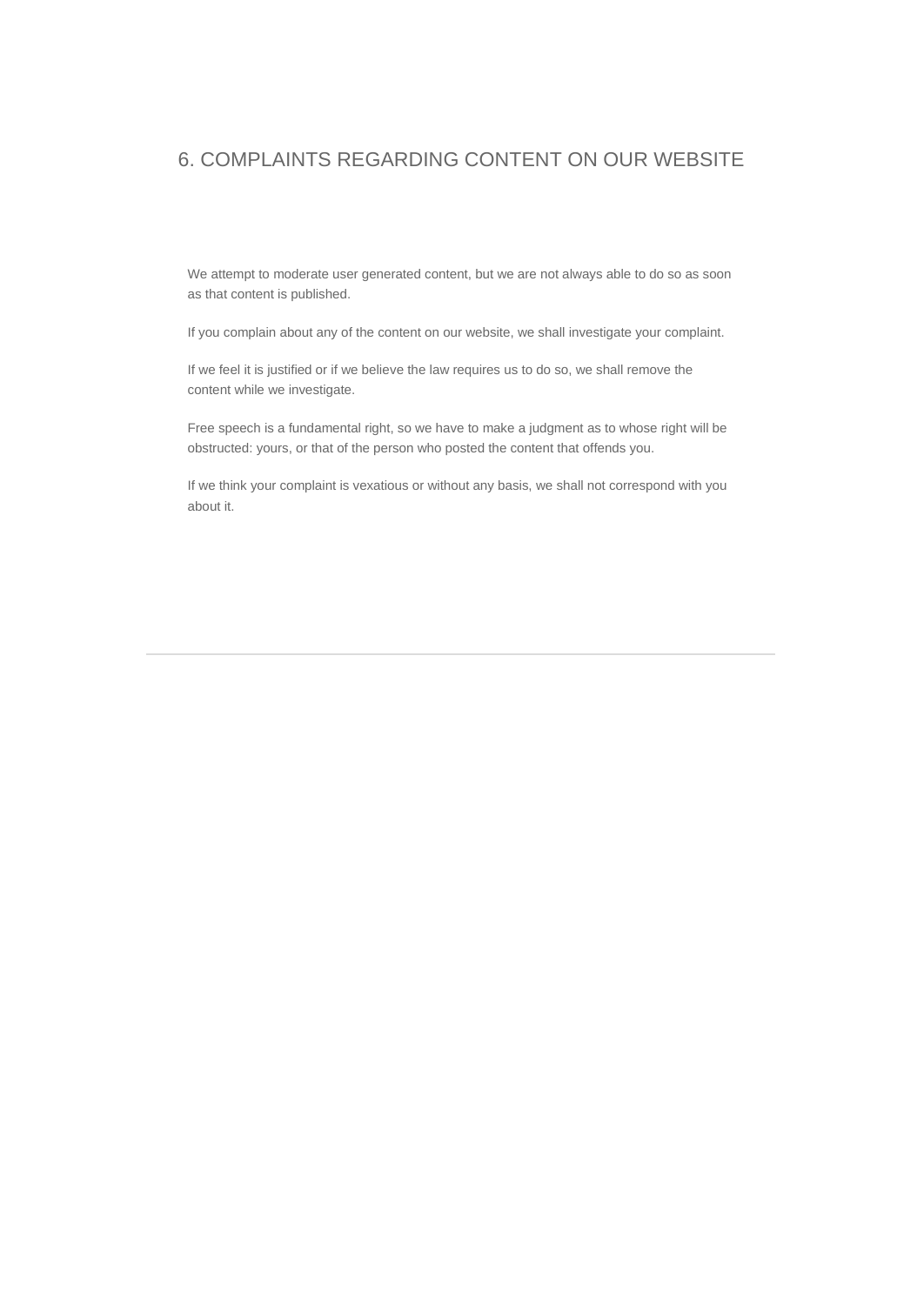#### 6. COMPLAINTS REGARDING CONTENT ON OUR WEBSITE

We attempt to moderate user generated content, but we are not always able to do so as soon as that content is published.

If you complain about any of the content on our website, we shall investigate your complaint.

If we feel it is justified or if we believe the law requires us to do so, we shall remove the content while we investigate.

Free speech is a fundamental right, so we have to make a judgment as to whose right will be obstructed: yours, or that of the person who posted the content that offends you.

If we think your complaint is vexatious or without any basis, we shall not correspond with you about it.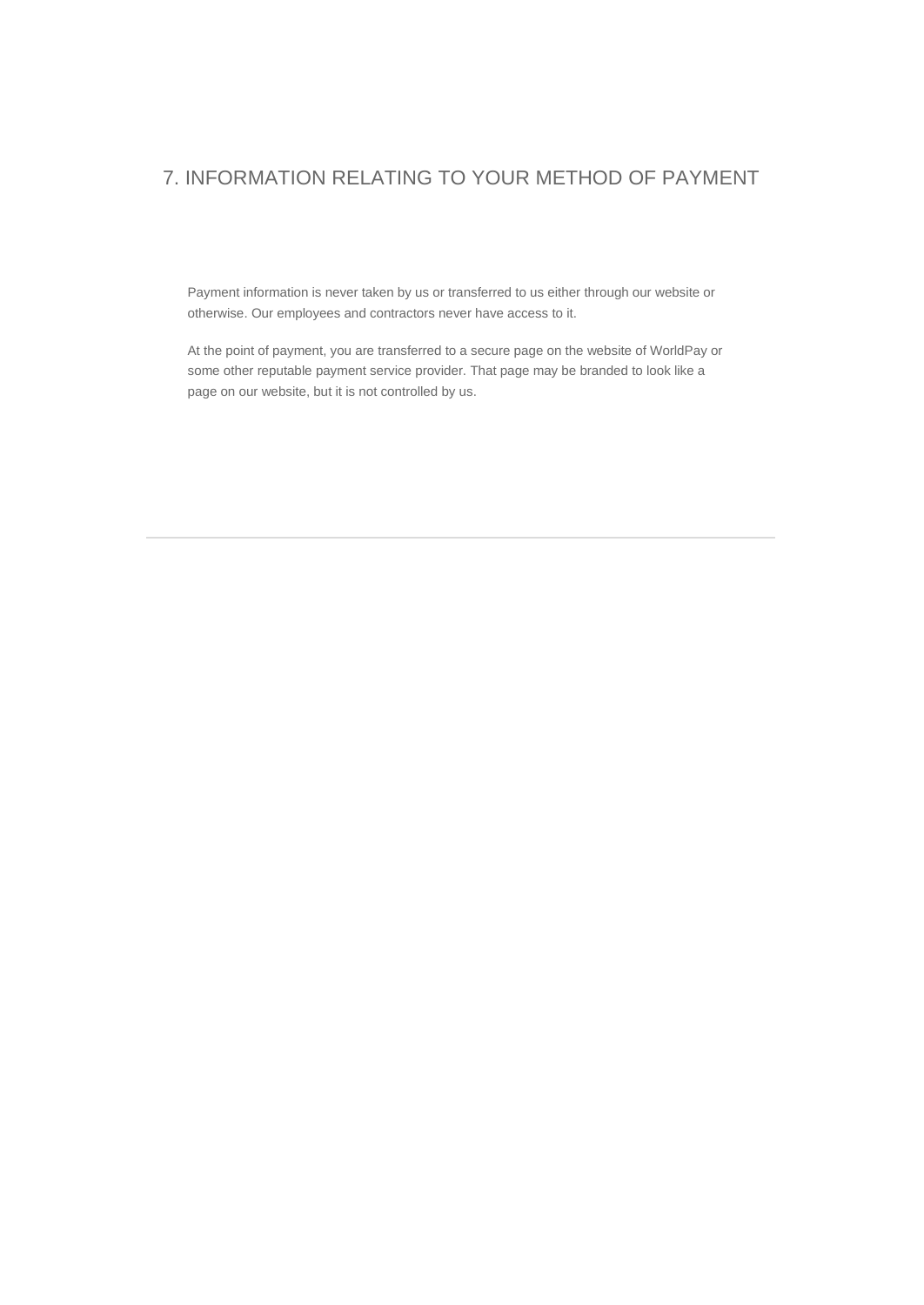### 7. INFORMATION RELATING TO YOUR METHOD OF PAYMENT

Payment information is never taken by us or transferred to us either through our website or otherwise. Our employees and contractors never have access to it.

At the point of payment, you are transferred to a secure page on the website of WorldPay or some other reputable payment service provider. That page may be branded to look like a page on our website, but it is not controlled by us.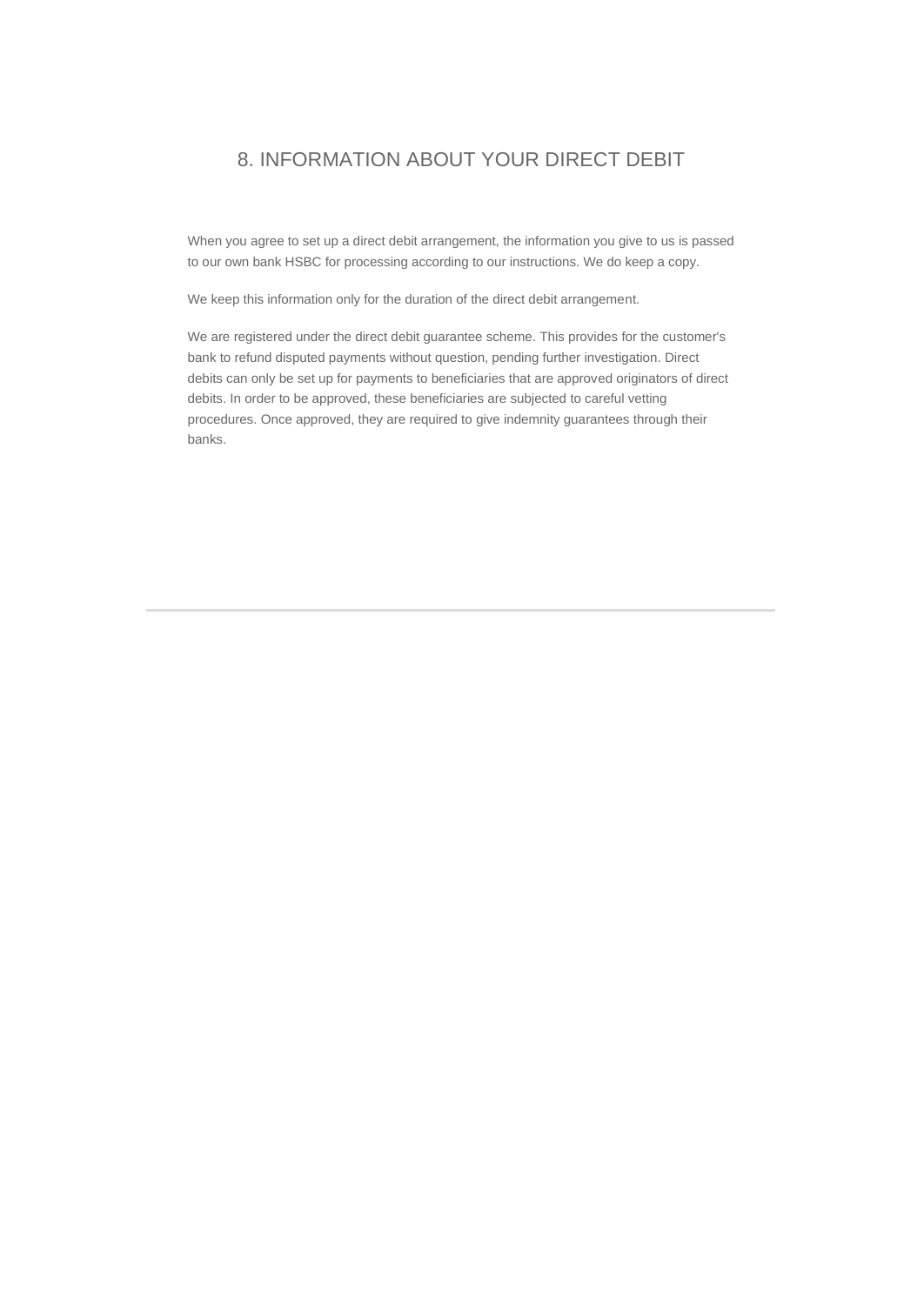### 8. INFORMATION ABOUT YOUR DIRECT DEBIT

When you agree to set up a direct debit arrangement, the information you give to us is passed to our own bank HSBC for processing according to our instructions. We do keep a copy.

We keep this information only for the duration of the direct debit arrangement.

We are registered under the direct debit guarantee scheme. This provides for the customer's bank to refund disputed payments without question, pending further investigation. Direct debits can only be set up for payments to beneficiaries that are approved originators of direct debits. In order to be approved, these beneficiaries are subjected to careful vetting procedures. Once approved, they are required to give indemnity guarantees through their banks.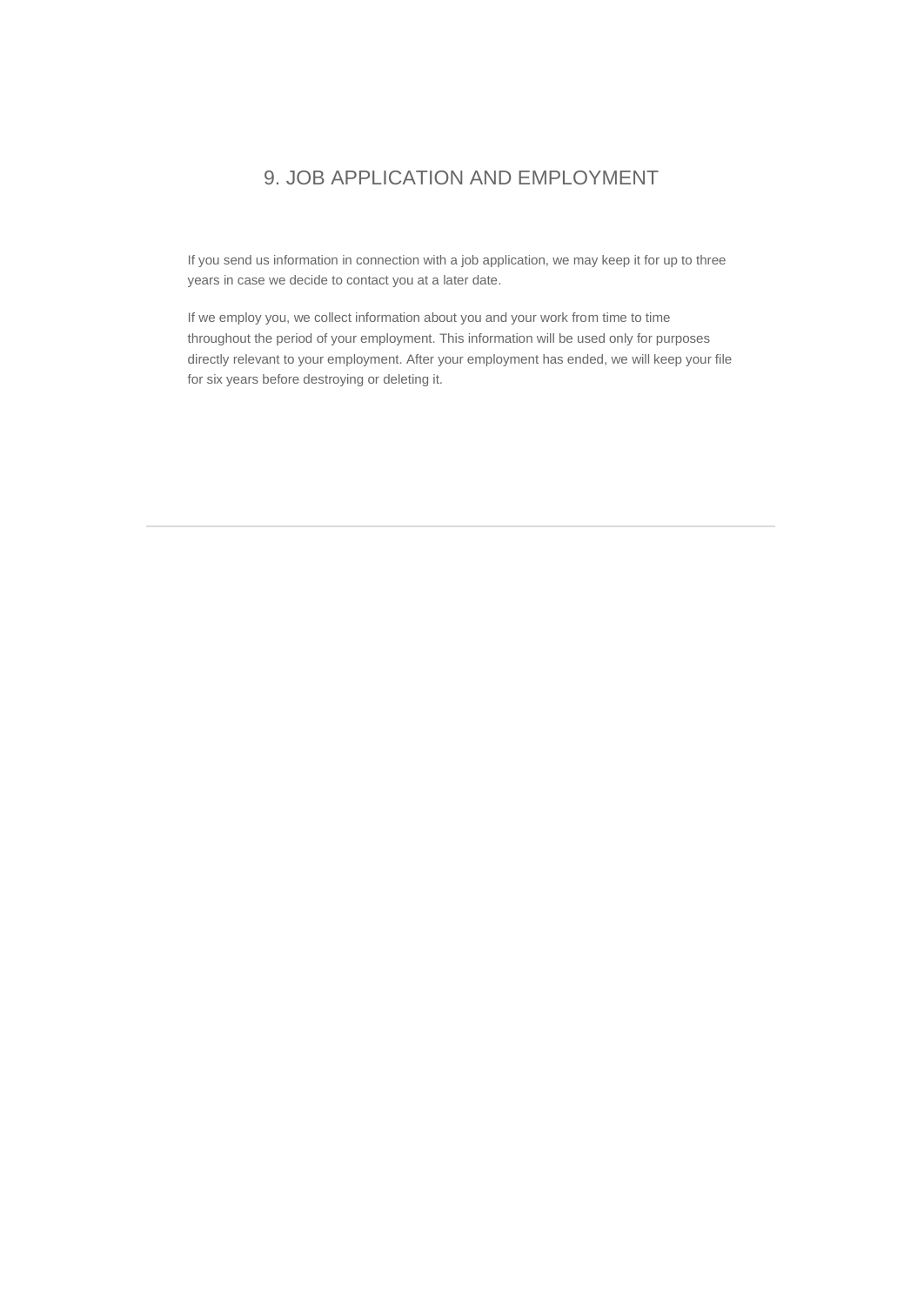#### 9. JOB APPLICATION AND EMPLOYMENT

If you send us information in connection with a job application, we may keep it for up to three years in case we decide to contact you at a later date.

If we employ you, we collect information about you and your work from time to time throughout the period of your employment. This information will be used only for purposes directly relevant to your employment. After your employment has ended, we will keep your file for six years before destroying or deleting it.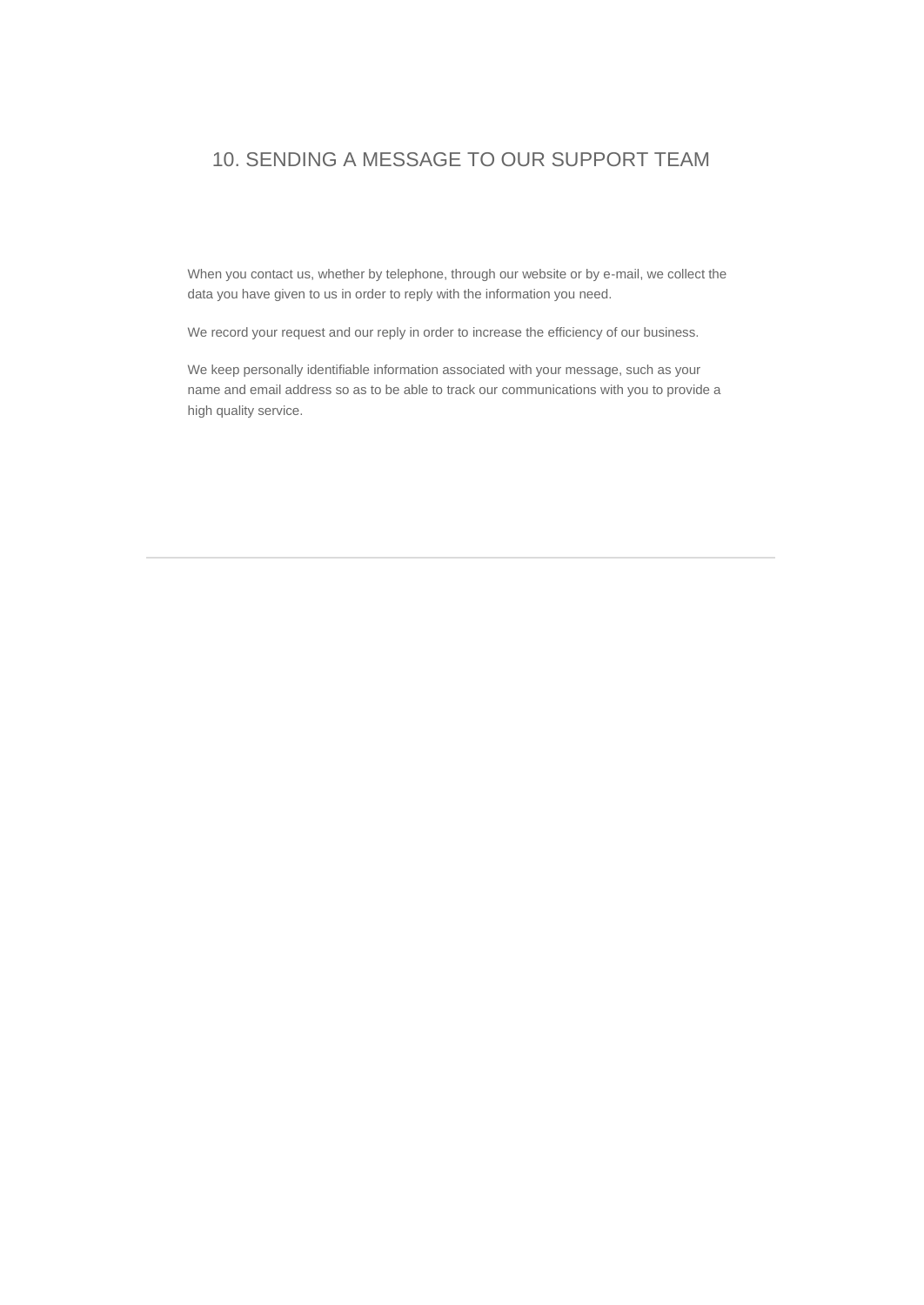### 10. SENDING A MESSAGE TO OUR SUPPORT TEAM

When you contact us, whether by telephone, through our website or by e-mail, we collect the data you have given to us in order to reply with the information you need.

We record your request and our reply in order to increase the efficiency of our business.

We keep personally identifiable information associated with your message, such as your name and email address so as to be able to track our communications with you to provide a high quality service.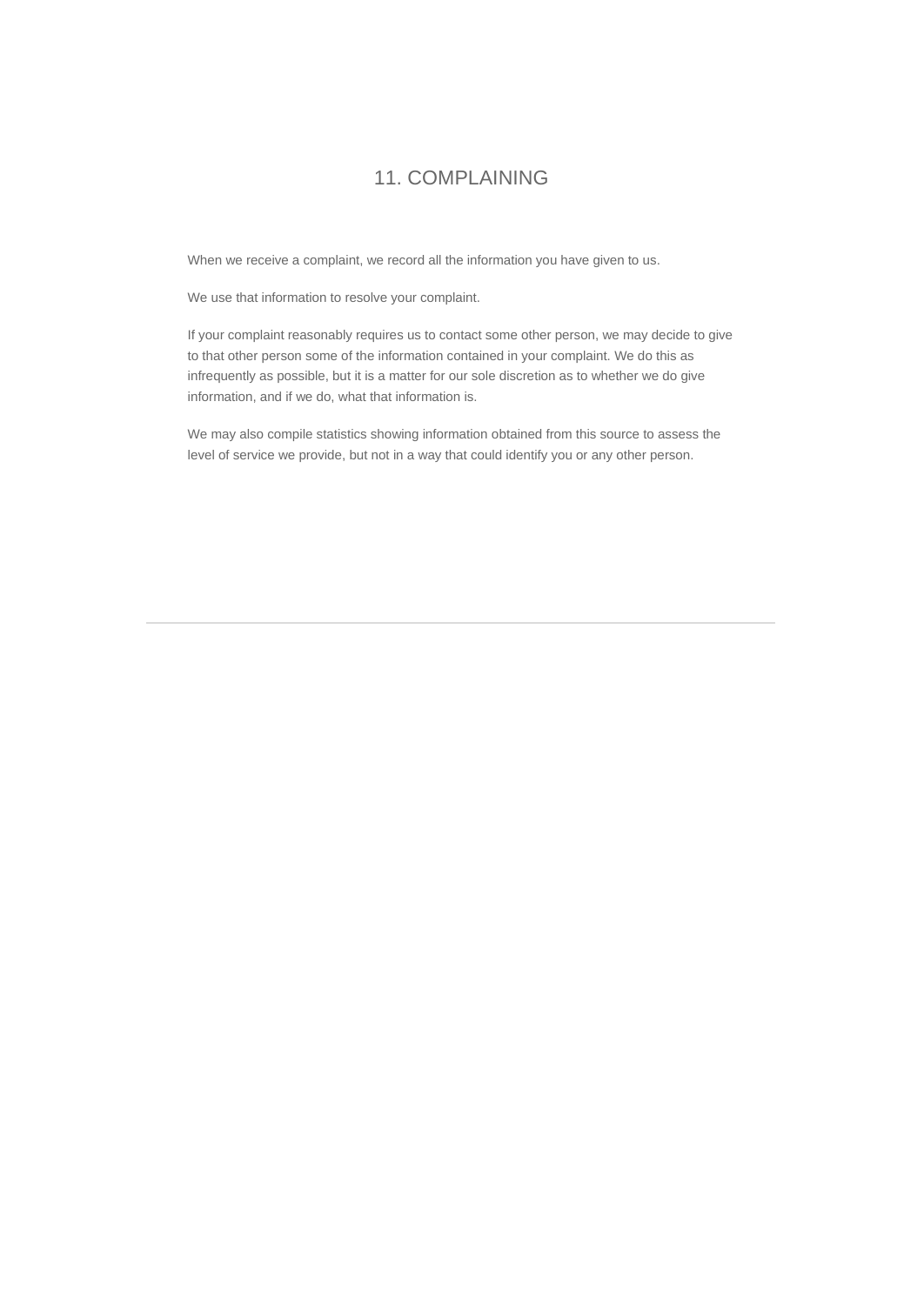#### 11. COMPLAINING

When we receive a complaint, we record all the information you have given to us.

We use that information to resolve your complaint.

If your complaint reasonably requires us to contact some other person, we may decide to give to that other person some of the information contained in your complaint. We do this as infrequently as possible, but it is a matter for our sole discretion as to whether we do give information, and if we do, what that information is.

We may also compile statistics showing information obtained from this source to assess the level of service we provide, but not in a way that could identify you or any other person.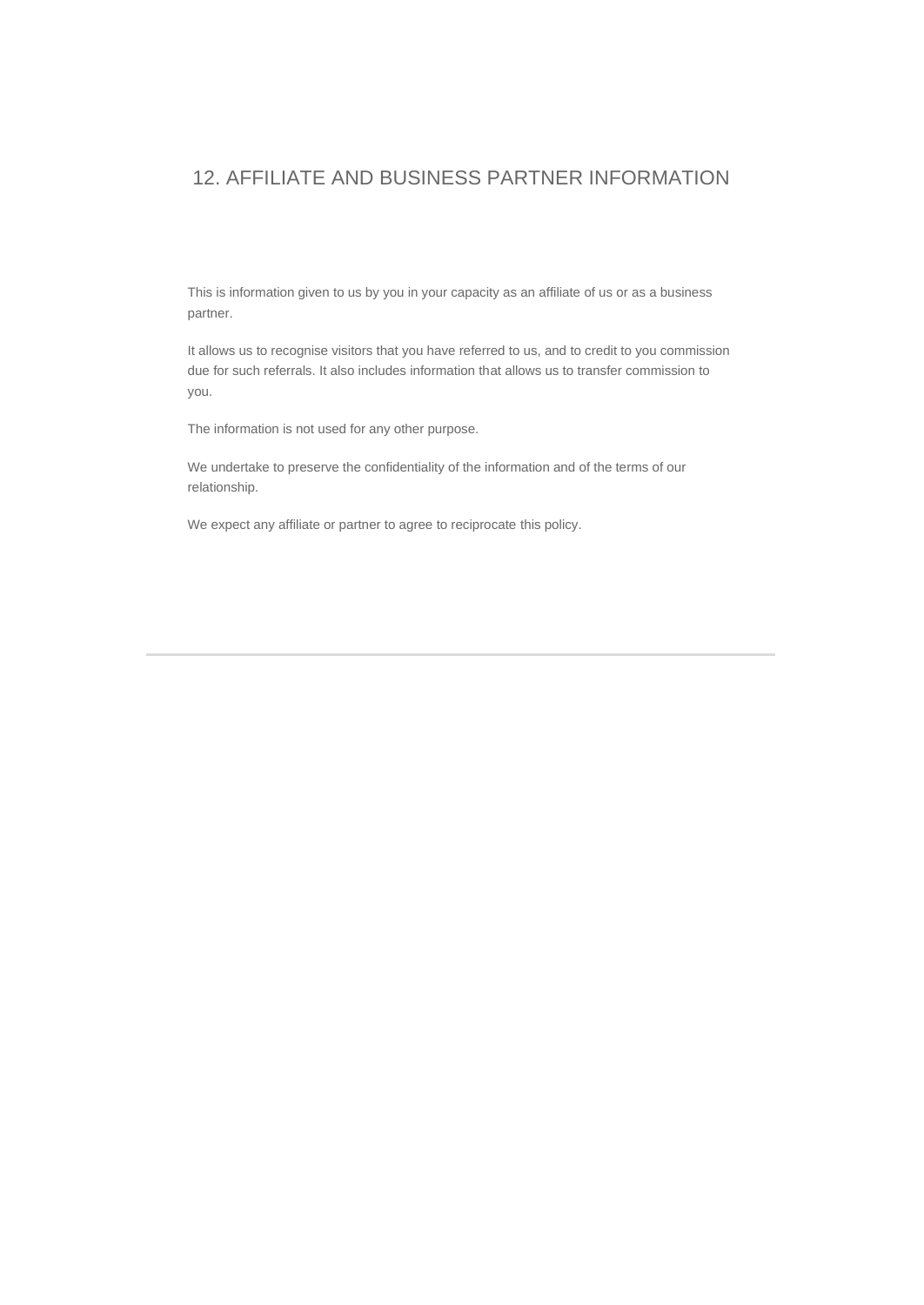#### 12. AFFILIATE AND BUSINESS PARTNER INFORMATION

This is information given to us by you in your capacity as an affiliate of us or as a business partner.

It allows us to recognise visitors that you have referred to us, and to credit to you commission due for such referrals. It also includes information that allows us to transfer commission to you.

The information is not used for any other purpose.

We undertake to preserve the confidentiality of the information and of the terms of our relationship.

We expect any affiliate or partner to agree to reciprocate this policy.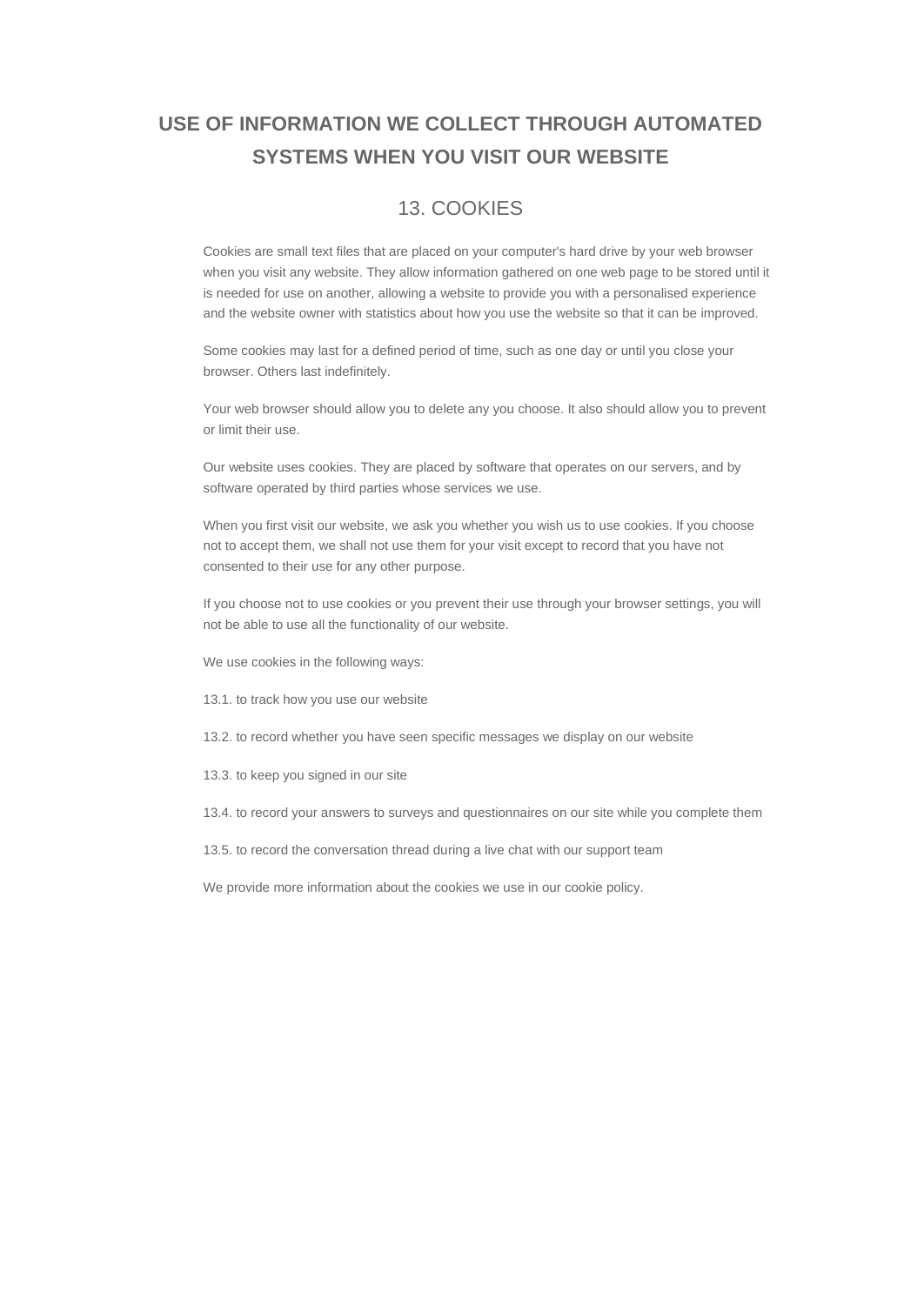## **USE OF INFORMATION WE COLLECT THROUGH AUTOMATED SYSTEMS WHEN YOU VISIT OUR WEBSITE**

### 13. COOKIES

Cookies are small text files that are placed on your computer's hard drive by your web browser when you visit any website. They allow information gathered on one web page to be stored until it is needed for use on another, allowing a website to provide you with a personalised experience and the website owner with statistics about how you use the website so that it can be improved.

Some cookies may last for a defined period of time, such as one day or until you close your browser. Others last indefinitely.

Your web browser should allow you to delete any you choose. It also should allow you to prevent or limit their use.

Our website uses cookies. They are placed by software that operates on our servers, and by software operated by third parties whose services we use.

When you first visit our website, we ask you whether you wish us to use cookies. If you choose not to accept them, we shall not use them for your visit except to record that you have not consented to their use for any other purpose.

If you choose not to use cookies or you prevent their use through your browser settings, you will not be able to use all the functionality of our website.

We use cookies in the following ways:

- 13.1. to track how you use our website
- 13.2. to record whether you have seen specific messages we display on our website
- 13.3. to keep you signed in our site
- 13.4. to record your answers to surveys and questionnaires on our site while you complete them
- 13.5. to record the conversation thread during a live chat with our support team

We provide more information about the cookies we use in our cookie policy.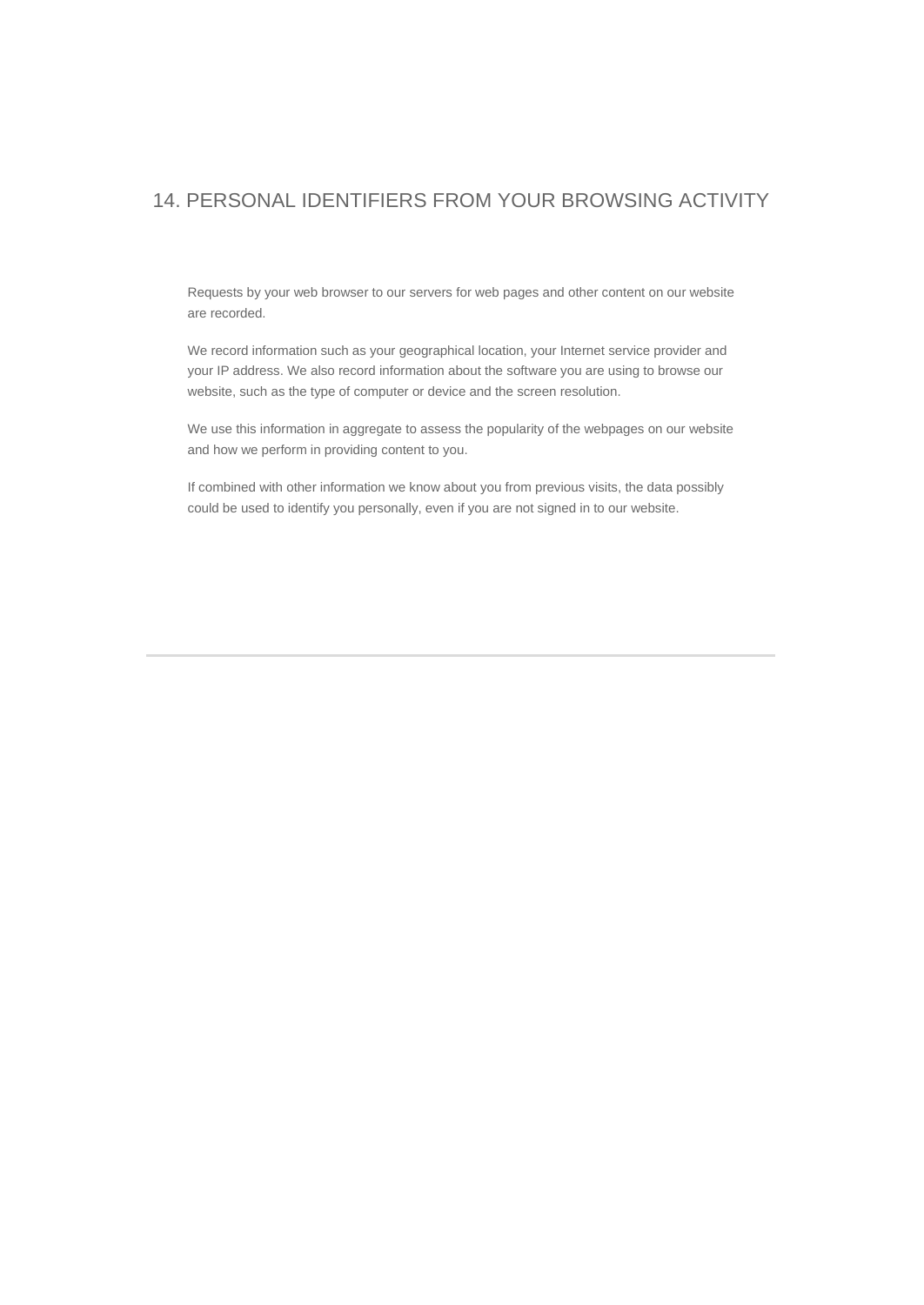### 14. PERSONAL IDENTIFIERS FROM YOUR BROWSING ACTIVITY

Requests by your web browser to our servers for web pages and other content on our website are recorded.

We record information such as your geographical location, your Internet service provider and your IP address. We also record information about the software you are using to browse our website, such as the type of computer or device and the screen resolution.

We use this information in aggregate to assess the popularity of the webpages on our website and how we perform in providing content to you.

If combined with other information we know about you from previous visits, the data possibly could be used to identify you personally, even if you are not signed in to our website.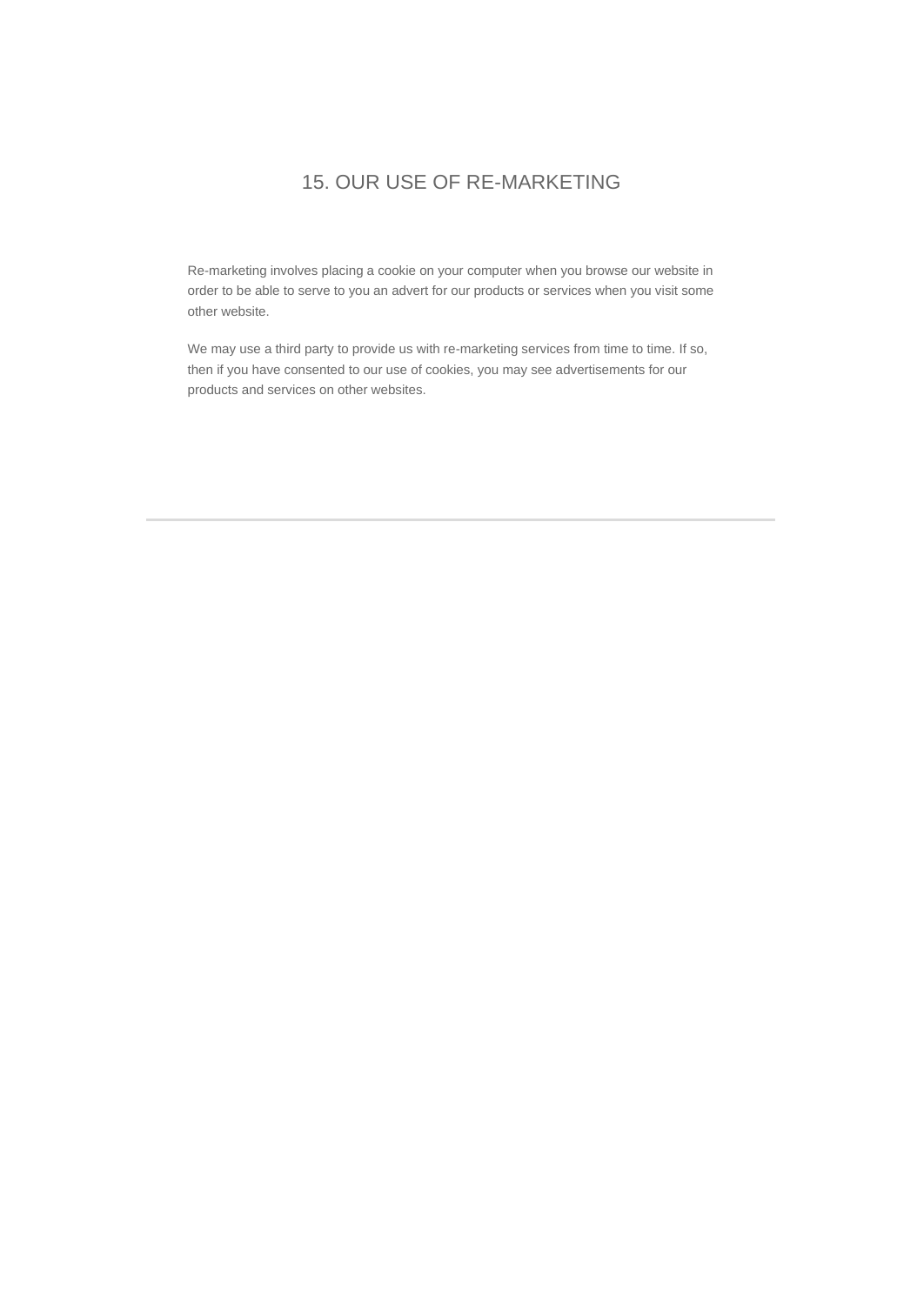### 15. OUR USE OF RE-MARKETING

Re-marketing involves placing a cookie on your computer when you browse our website in order to be able to serve to you an advert for our products or services when you visit some other website.

We may use a third party to provide us with re-marketing services from time to time. If so, then if you have consented to our use of cookies, you may see advertisements for our products and services on other websites.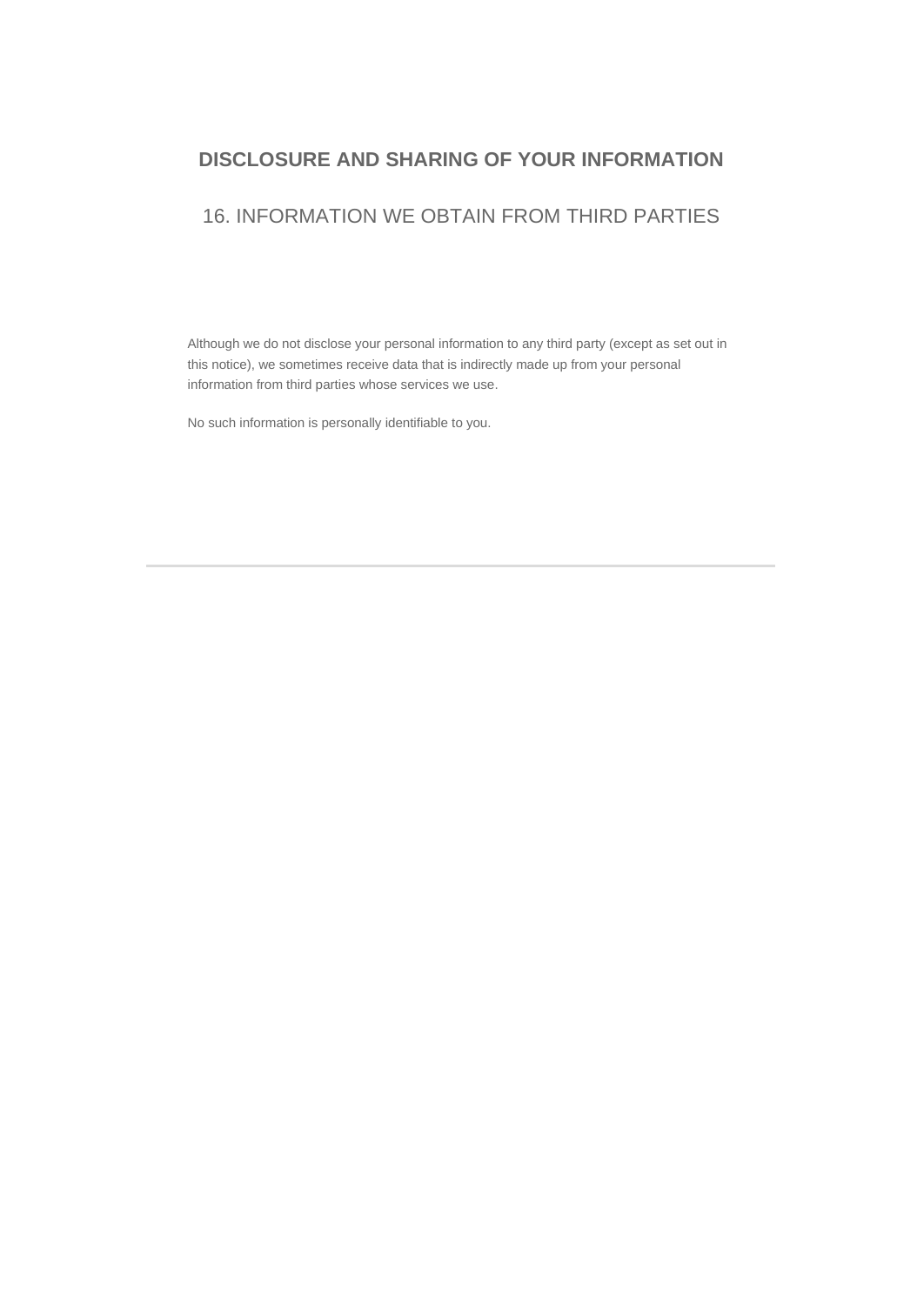#### **DISCLOSURE AND SHARING OF YOUR INFORMATION**

#### 16. INFORMATION WE OBTAIN FROM THIRD PARTIES

Although we do not disclose your personal information to any third party (except as set out in this notice), we sometimes receive data that is indirectly made up from your personal information from third parties whose services we use.

No such information is personally identifiable to you.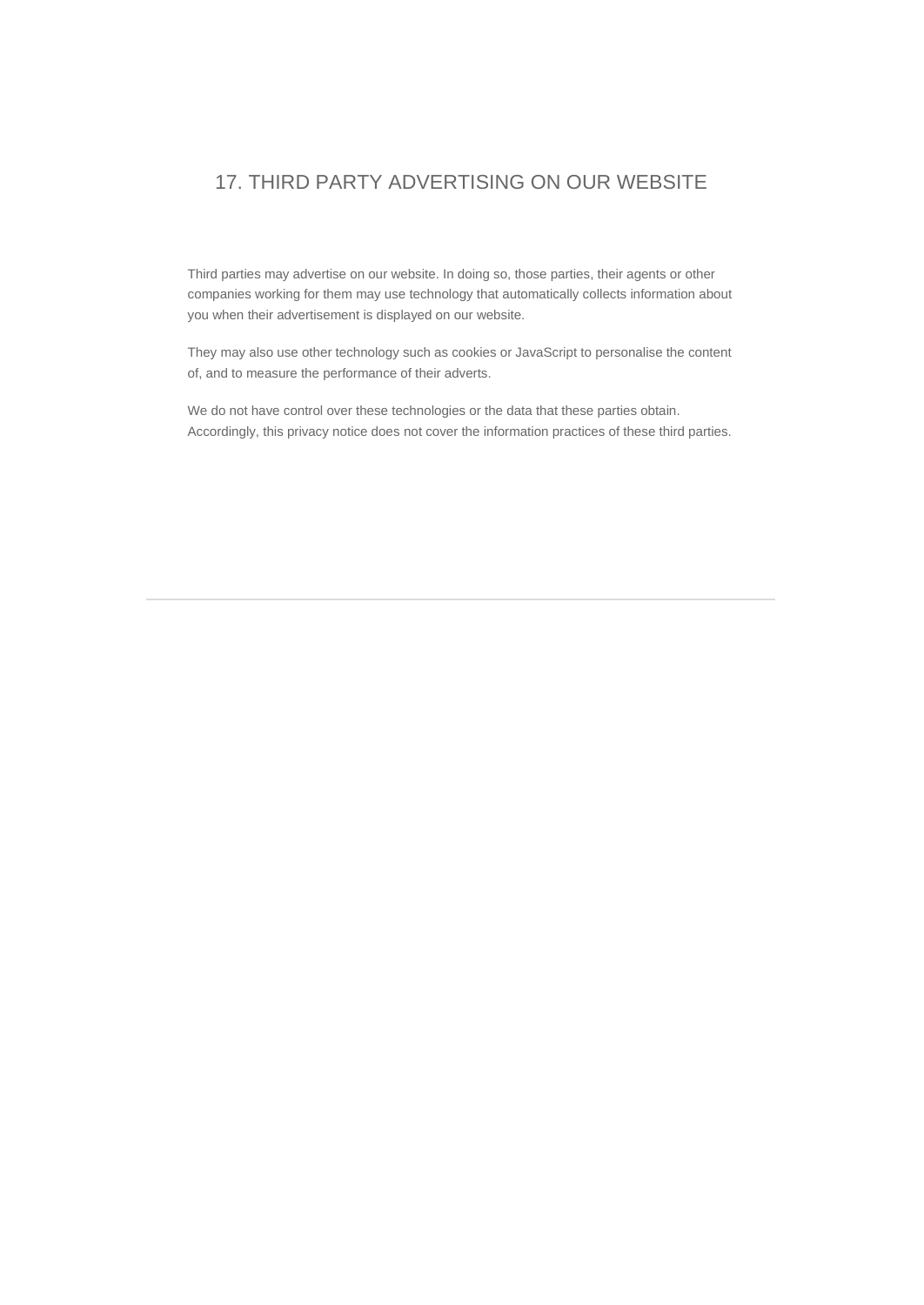### 17. THIRD PARTY ADVERTISING ON OUR WEBSITE

Third parties may advertise on our website. In doing so, those parties, their agents or other companies working for them may use technology that automatically collects information about you when their advertisement is displayed on our website.

They may also use other technology such as cookies or JavaScript to personalise the content of, and to measure the performance of their adverts.

We do not have control over these technologies or the data that these parties obtain. Accordingly, this privacy notice does not cover the information practices of these third parties.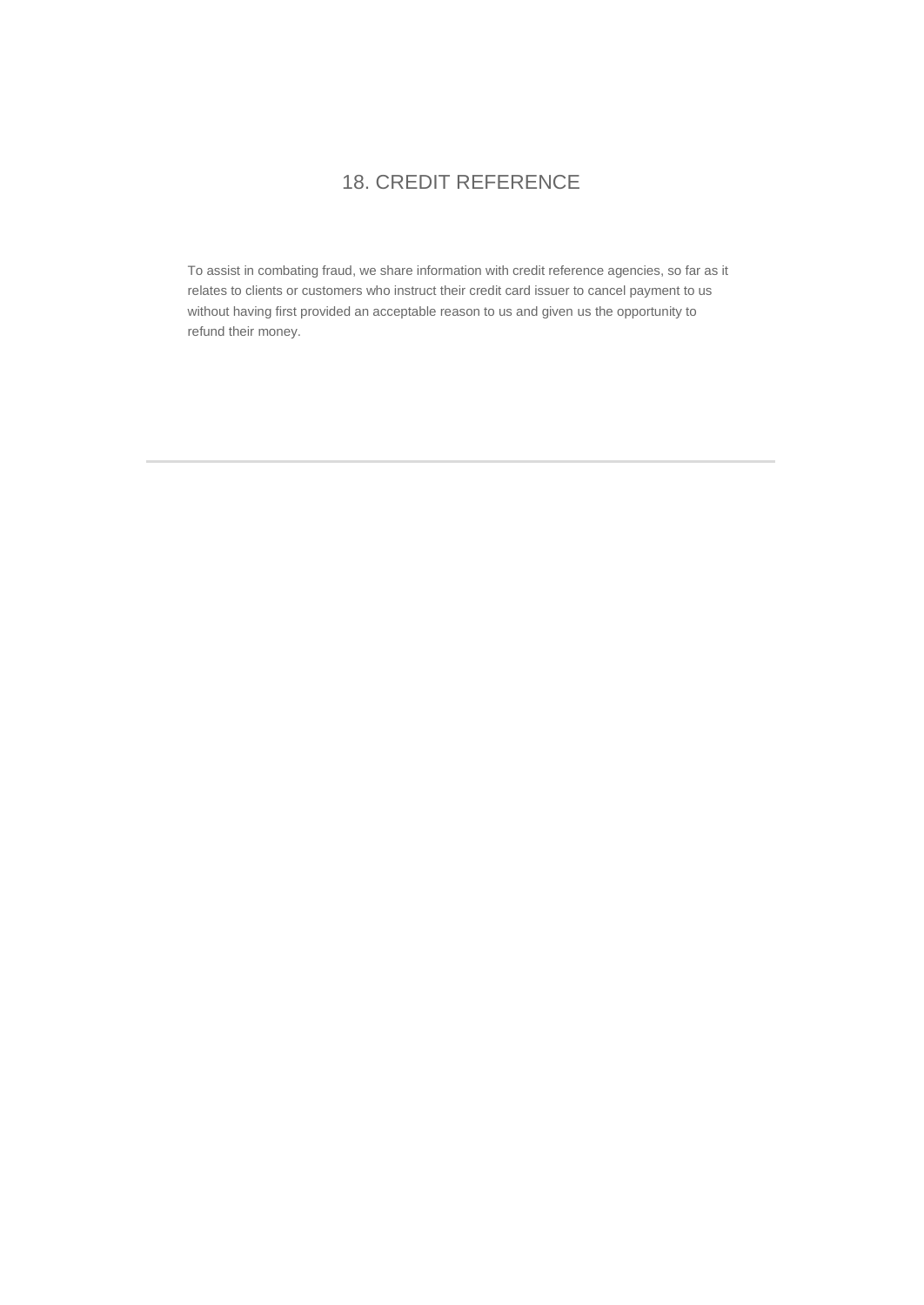## 18. CREDIT REFERENCE

To assist in combating fraud, we share information with credit reference agencies, so far as it relates to clients or customers who instruct their credit card issuer to cancel payment to us without having first provided an acceptable reason to us and given us the opportunity to refund their money.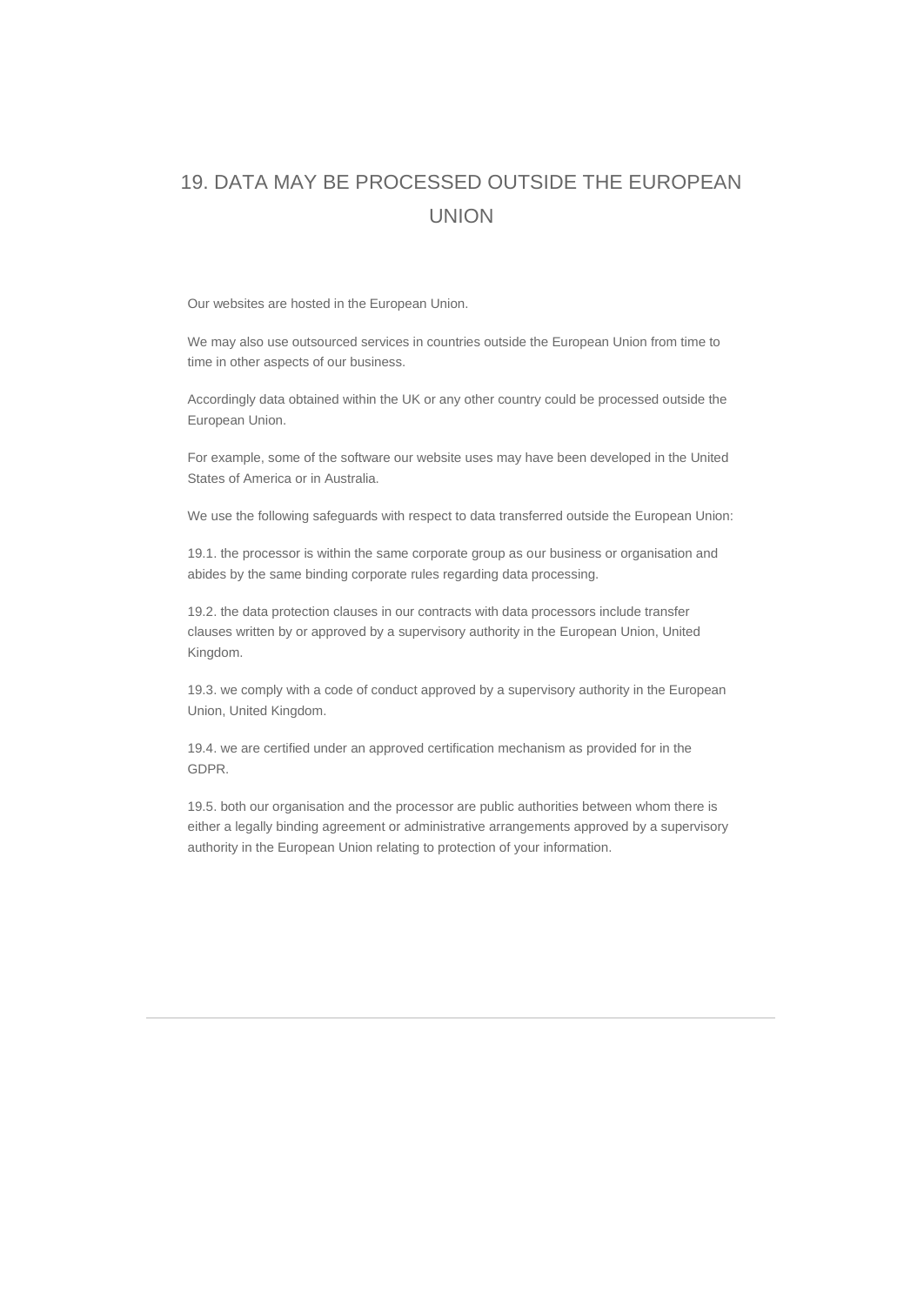# 19. DATA MAY BE PROCESSED OUTSIDE THE EUROPEAN UNION

Our websites are hosted in the European Union.

We may also use outsourced services in countries outside the European Union from time to time in other aspects of our business.

Accordingly data obtained within the UK or any other country could be processed outside the European Union.

For example, some of the software our website uses may have been developed in the United States of America or in Australia.

We use the following safeguards with respect to data transferred outside the European Union:

19.1. the processor is within the same corporate group as our business or organisation and abides by the same binding corporate rules regarding data processing.

19.2. the data protection clauses in our contracts with data processors include transfer clauses written by or approved by a supervisory authority in the European Union, United Kingdom.

19.3. we comply with a code of conduct approved by a supervisory authority in the European Union, United Kingdom.

19.4. we are certified under an approved certification mechanism as provided for in the GDPR.

19.5. both our organisation and the processor are public authorities between whom there is either a legally binding agreement or administrative arrangements approved by a supervisory authority in the European Union relating to protection of your information.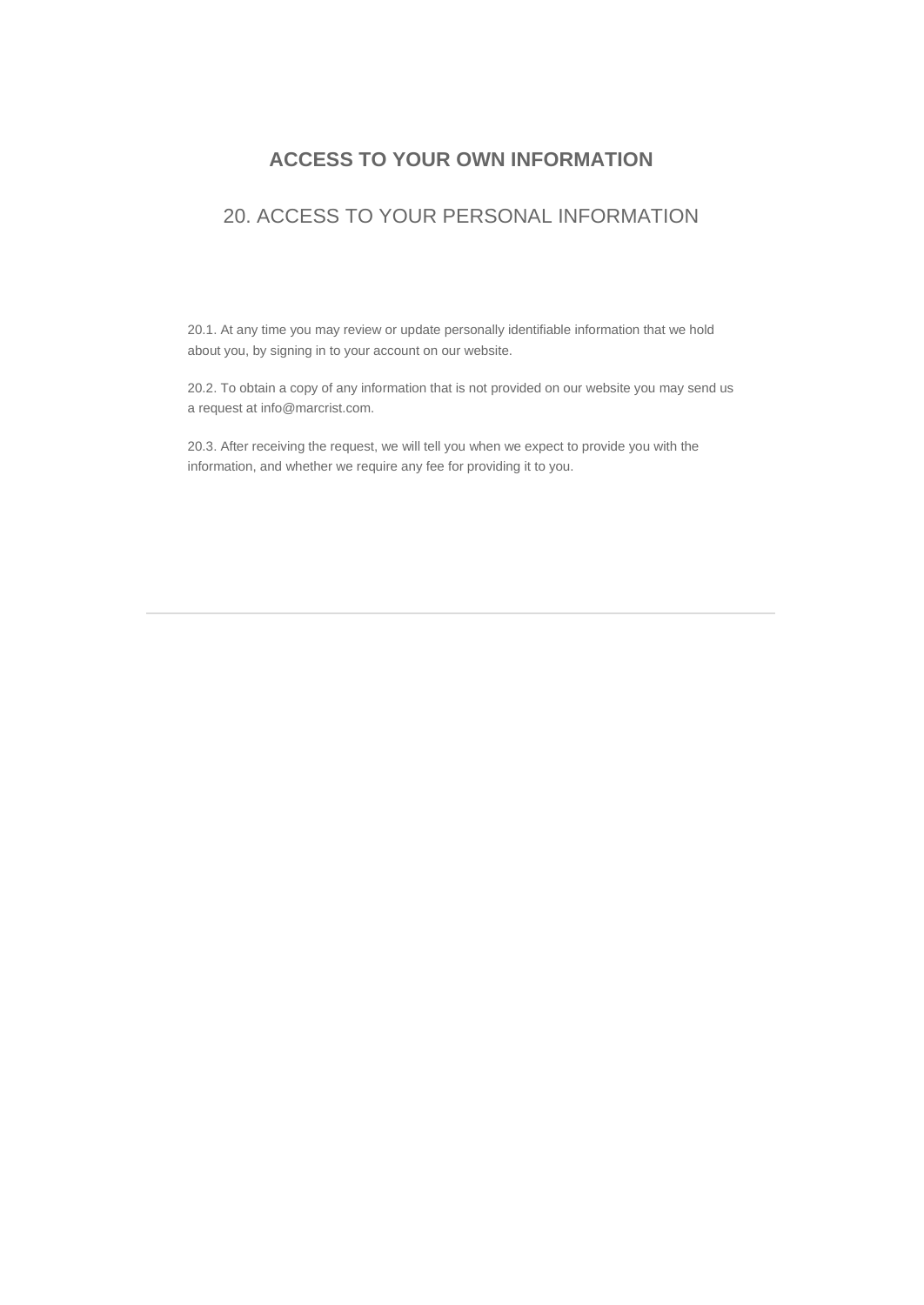#### **ACCESS TO YOUR OWN INFORMATION**

### 20. ACCESS TO YOUR PERSONAL INFORMATION

20.1. At any time you may review or update personally identifiable information that we hold about you, by signing in to your account on our website.

20.2. To obtain a copy of any information that is not provided on our website you may send us a request at info@marcrist.com.

20.3. After receiving the request, we will tell you when we expect to provide you with the information, and whether we require any fee for providing it to you.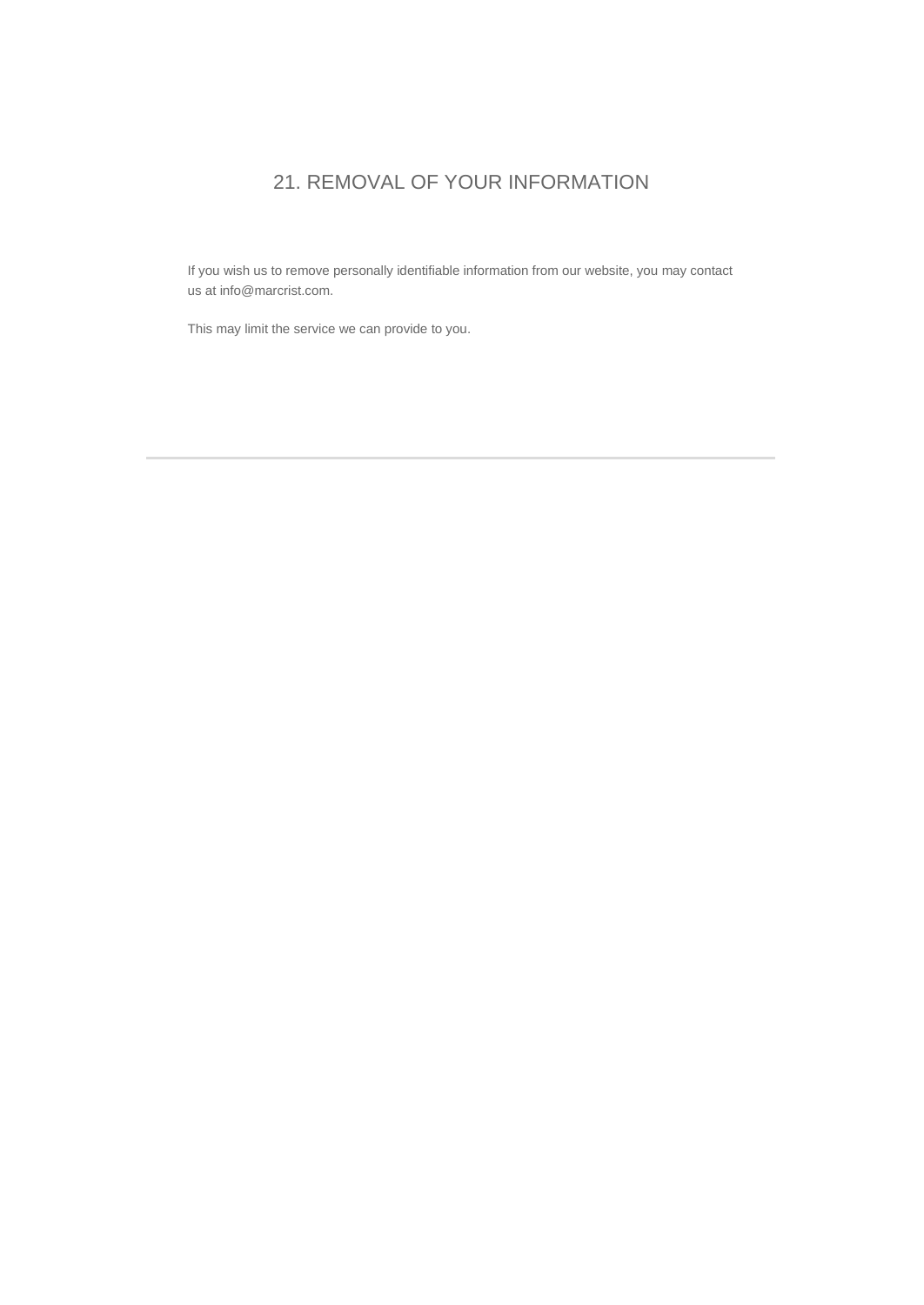## 21. REMOVAL OF YOUR INFORMATION

If you wish us to remove personally identifiable information from our website, you may contact us at info@marcrist.com.

This may limit the service we can provide to you.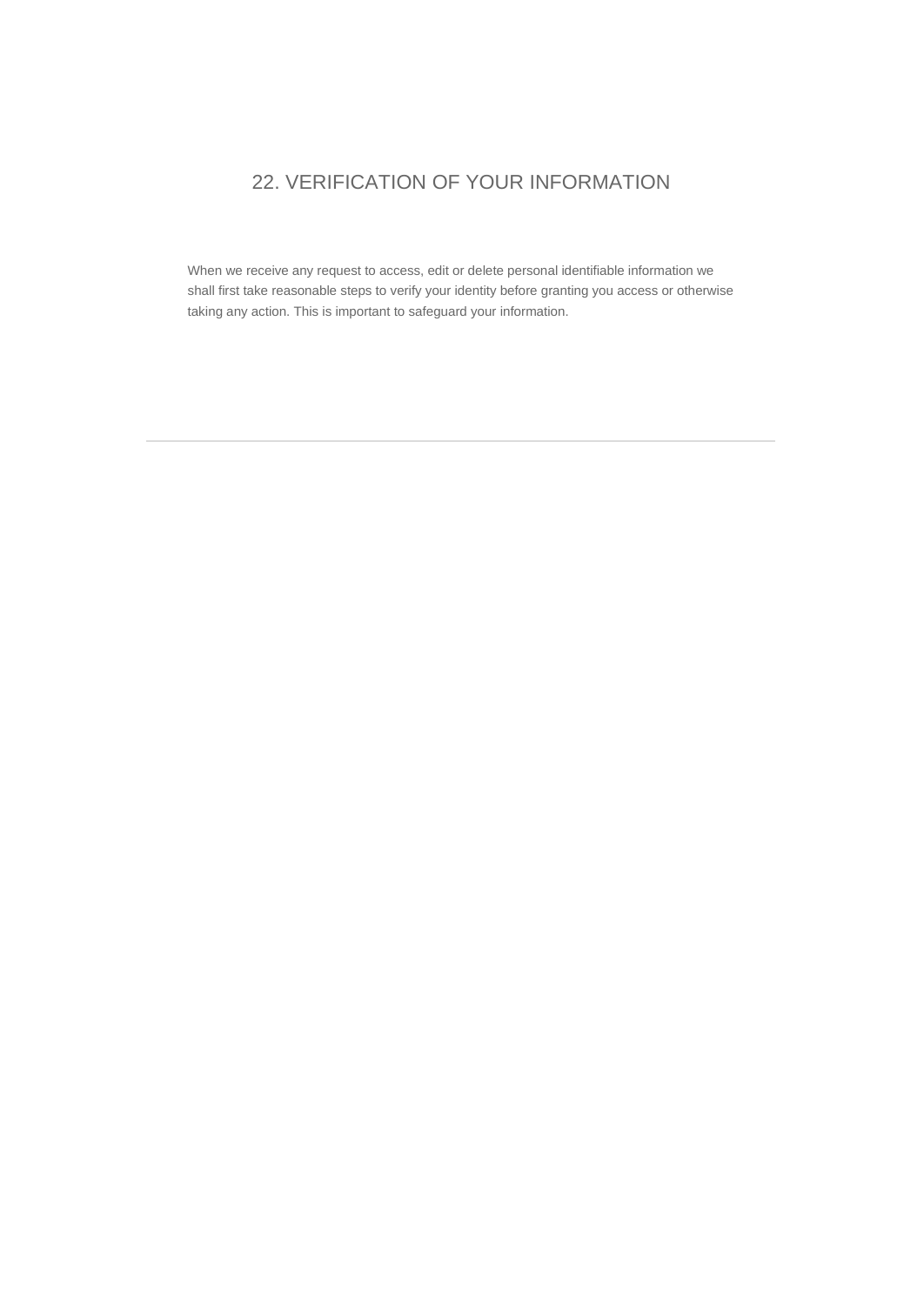# 22. VERIFICATION OF YOUR INFORMATION

When we receive any request to access, edit or delete personal identifiable information we shall first take reasonable steps to verify your identity before granting you access or otherwise taking any action. This is important to safeguard your information.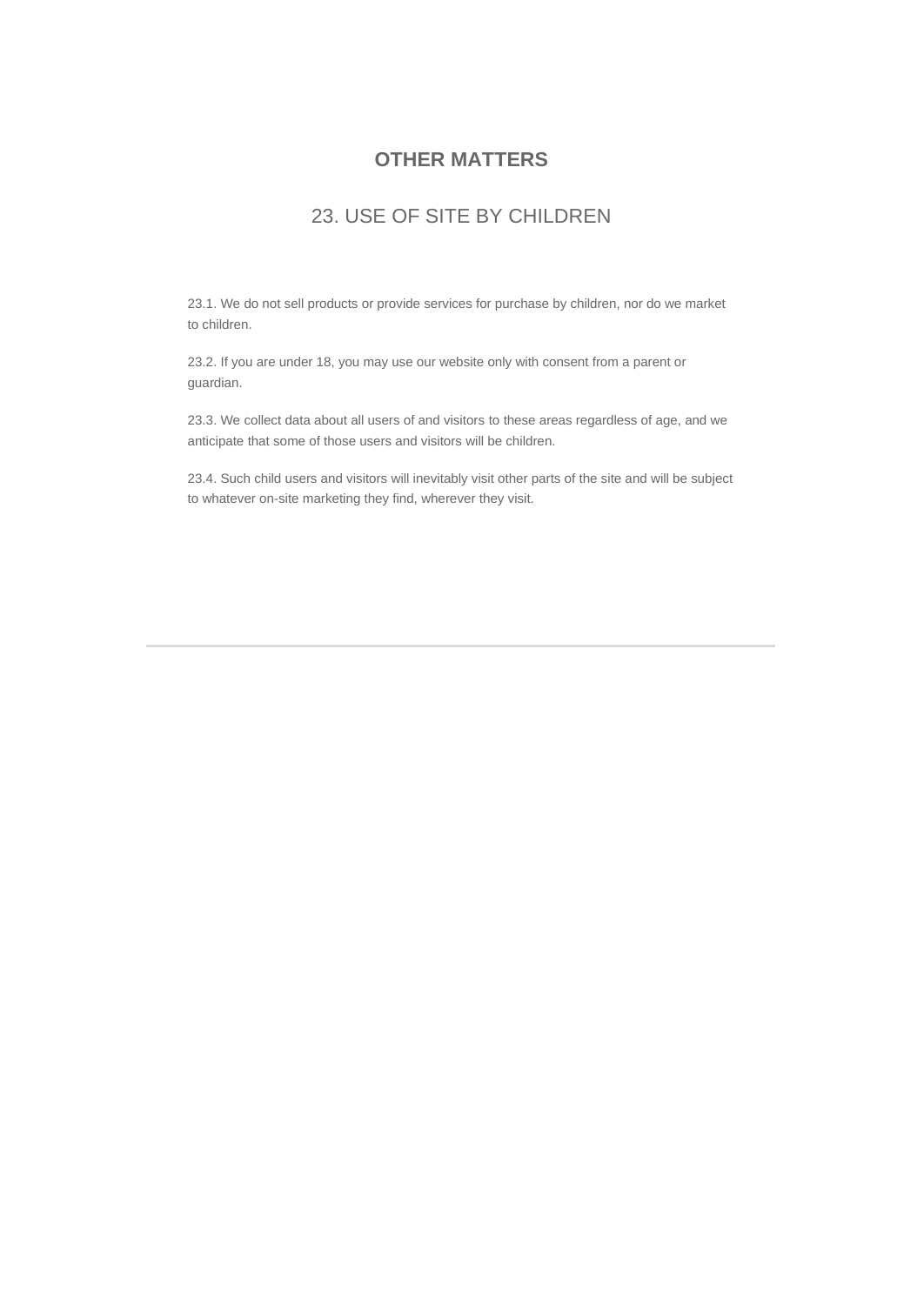#### **OTHER MATTERS**

#### 23. USE OF SITE BY CHILDREN

23.1. We do not sell products or provide services for purchase by children, nor do we market to children.

23.2. If you are under 18, you may use our website only with consent from a parent or guardian.

23.3. We collect data about all users of and visitors to these areas regardless of age, and we anticipate that some of those users and visitors will be children.

23.4. Such child users and visitors will inevitably visit other parts of the site and will be subject to whatever on-site marketing they find, wherever they visit.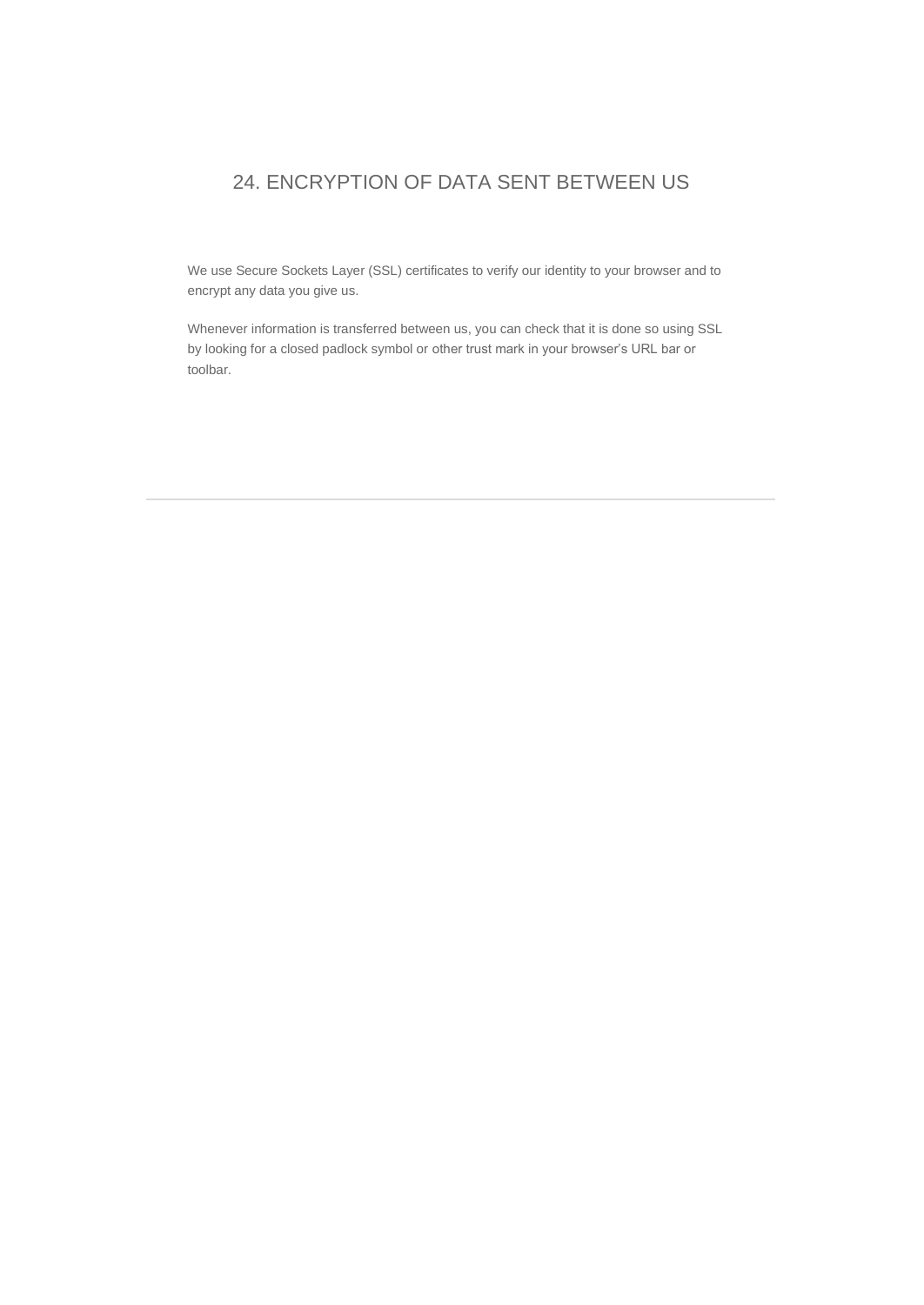## 24. ENCRYPTION OF DATA SENT BETWEEN US

We use Secure Sockets Layer (SSL) certificates to verify our identity to your browser and to encrypt any data you give us.

Whenever information is transferred between us, you can check that it is done so using SSL by looking for a closed padlock symbol or other trust mark in your browser's URL bar or toolbar.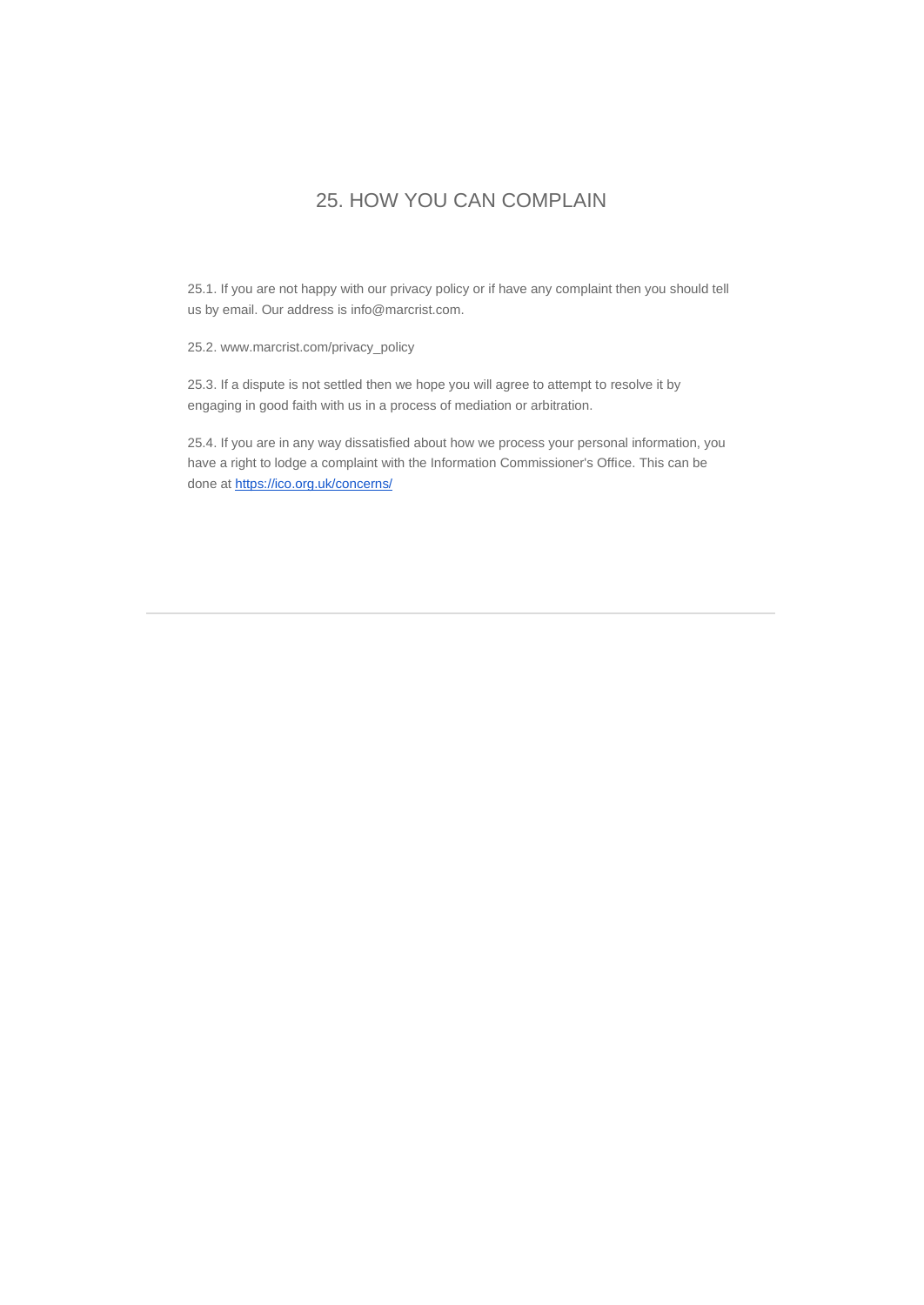### 25. HOW YOU CAN COMPLAIN

25.1. If you are not happy with our privacy policy or if have any complaint then you should tell us by email. Our address is info@marcrist.com.

25.2. www.marcrist.com/privacy\_policy

25.3. If a dispute is not settled then we hope you will agree to attempt to resolve it by engaging in good faith with us in a process of mediation or arbitration.

25.4. If you are in any way dissatisfied about how we process your personal information, you have a right to lodge a complaint with the Information Commissioner's Office. This can be done a[t https://ico.org.uk/concerns/](https://ico.org.uk/concerns/)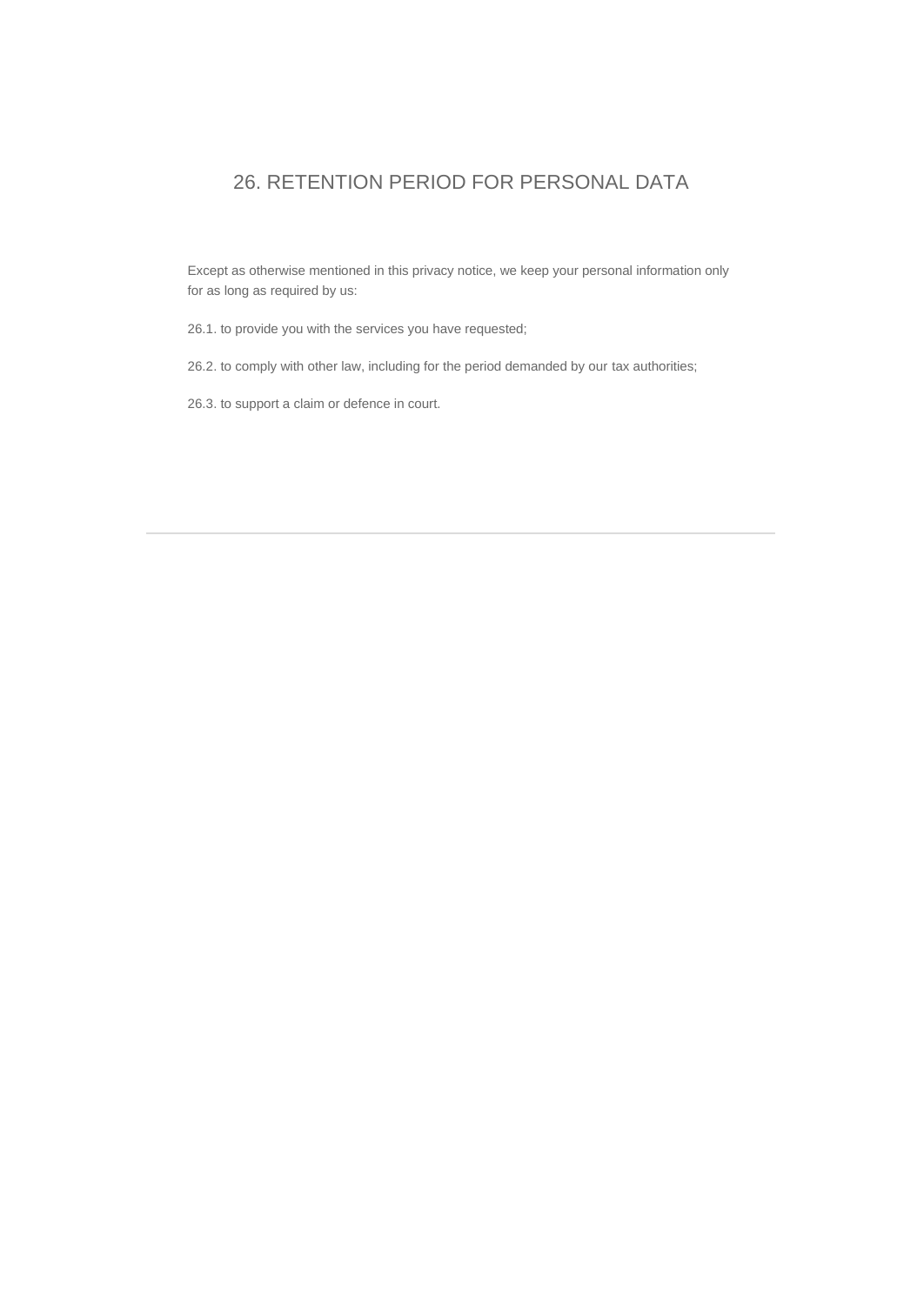## 26. RETENTION PERIOD FOR PERSONAL DATA

Except as otherwise mentioned in this privacy notice, we keep your personal information only for as long as required by us:

26.1. to provide you with the services you have requested;

26.2. to comply with other law, including for the period demanded by our tax authorities;

26.3. to support a claim or defence in court.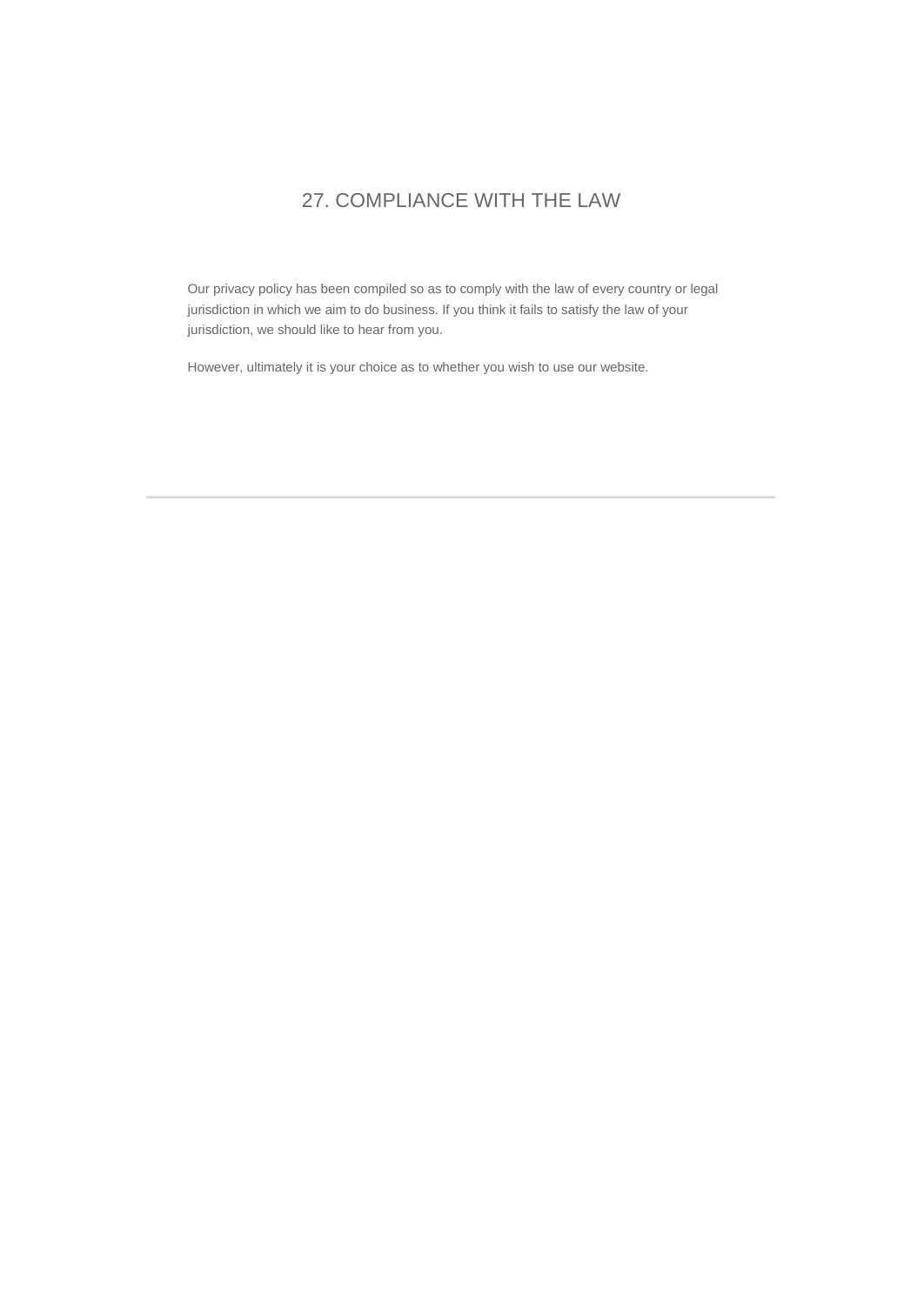## 27. COMPLIANCE WITH THE LAW

Our privacy policy has been compiled so as to comply with the law of every country or legal jurisdiction in which we aim to do business. If you think it fails to satisfy the law of your jurisdiction, we should like to hear from you.

However, ultimately it is your choice as to whether you wish to use our website.